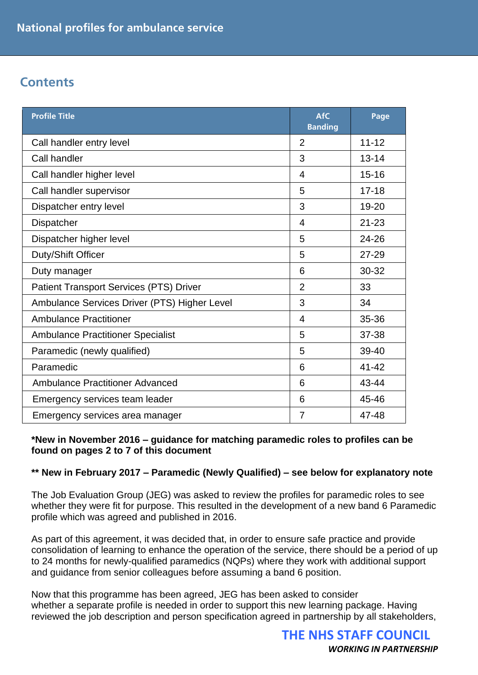### **Contents**

| <b>Profile Title</b>                           | <b>AfC</b><br><b>Banding</b> | Page      |
|------------------------------------------------|------------------------------|-----------|
| Call handler entry level                       | $\overline{2}$               | $11 - 12$ |
| Call handler                                   | 3                            | $13 - 14$ |
| Call handler higher level                      | 4                            | $15 - 16$ |
| Call handler supervisor                        | 5                            | $17 - 18$ |
| Dispatcher entry level                         | 3                            | 19-20     |
| Dispatcher                                     | 4                            | $21 - 23$ |
| Dispatcher higher level                        | 5                            | 24-26     |
| Duty/Shift Officer                             | 5                            | $27 - 29$ |
| Duty manager                                   | 6                            | 30-32     |
| <b>Patient Transport Services (PTS) Driver</b> | $\overline{2}$               | 33        |
| Ambulance Services Driver (PTS) Higher Level   | 3                            | 34        |
| <b>Ambulance Practitioner</b>                  | 4                            | 35-36     |
| <b>Ambulance Practitioner Specialist</b>       | 5                            | 37-38     |
| Paramedic (newly qualified)                    | 5                            | 39-40     |
| Paramedic                                      | 6                            | $41 - 42$ |
| <b>Ambulance Practitioner Advanced</b>         | 6                            | 43-44     |
| Emergency services team leader                 | 6                            | 45-46     |
| Emergency services area manager                | $\overline{7}$               | 47-48     |

**\*New in November 2016 – guidance for matching paramedic roles to profiles can be found on pages 2 to 7 of this document**

#### **\*\* New in February 2017 – Paramedic (Newly Qualified) – see below for explanatory note**

The Job Evaluation Group (JEG) was asked to review the profiles for paramedic roles to see whether they were fit for purpose. This resulted in the development of a new band 6 Paramedic profile which was agreed and published in 2016.

As part of this agreement, it was decided that, in order to ensure safe practice and provide consolidation of learning to enhance the operation of the service, there should be a period of up to 24 months for newly-qualified paramedics (NQPs) where they work with additional support and guidance from senior colleagues before assuming a band 6 position.

Now that this programme has been agreed, JEG has been asked to consider whether a separate profile is needed in order to support this new learning package. Having reviewed the job description and person specification agreed in partnership by all stakeholders,

> **THE NHS STAFF COUNCIL** *WORKING IN PARTNERSHIP*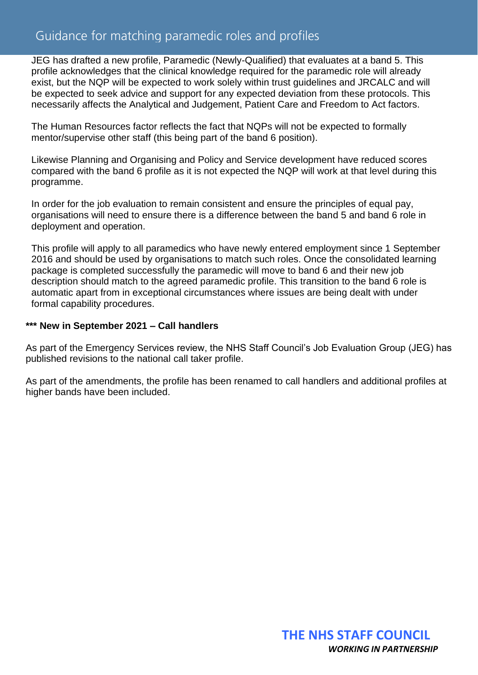### Guidance for matching paramedic roles and profiles

JEG has drafted a new profile, Paramedic (Newly-Qualified) that evaluates at a band 5. This profile acknowledges that the clinical knowledge required for the paramedic role will already exist, but the NQP will be expected to work solely within trust guidelines and JRCALC and will be expected to seek advice and support for any expected deviation from these protocols. This necessarily affects the Analytical and Judgement, Patient Care and Freedom to Act factors.

The Human Resources factor reflects the fact that NQPs will not be expected to formally mentor/supervise other staff (this being part of the band 6 position).

Likewise Planning and Organising and Policy and Service development have reduced scores compared with the band 6 profile as it is not expected the NQP will work at that level during this programme.

In order for the job evaluation to remain consistent and ensure the principles of equal pay, organisations will need to ensure there is a difference between the band 5 and band 6 role in deployment and operation.

This profile will apply to all paramedics who have newly entered employment since 1 September 2016 and should be used by organisations to match such roles. Once the consolidated learning package is completed successfully the paramedic will move to band 6 and their new job description should match to the agreed paramedic profile. This transition to the band 6 role is automatic apart from in exceptional circumstances where issues are being dealt with under formal capability procedures.

#### **\*\*\* New in September 2021 – Call handlers**

As part of the Emergency Services review, the NHS Staff Council's Job Evaluation Group (JEG) has published revisions to the national call taker profile.

As part of the amendments, the profile has been renamed to call handlers and additional profiles at higher bands have been included.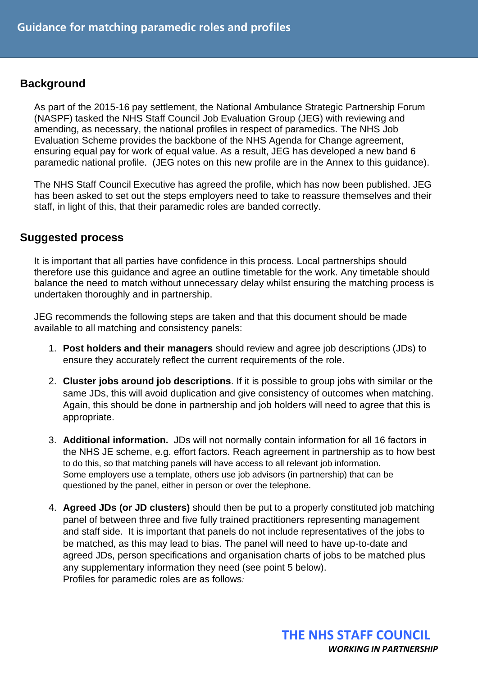### **Background**

As part of the 2015-16 pay settlement, the National Ambulance Strategic Partnership Forum (NASPF) tasked the NHS Staff Council Job Evaluation Group (JEG) with reviewing and amending, as necessary, the national profiles in respect of paramedics. The NHS Job Evaluation Scheme provides the backbone of the NHS Agenda for Change agreement, ensuring equal pay for work of equal value. As a result, JEG has developed a new band 6 paramedic national profile. (JEG notes on this new profile are in the Annex to this guidance).

The NHS Staff Council Executive has agreed the profile, which has now been published. JEG has been asked to set out the steps employers need to take to reassure themselves and their staff, in light of this, that their paramedic roles are banded correctly.

#### **Suggested process**

It is important that all parties have confidence in this process. Local partnerships should therefore use this guidance and agree an outline timetable for the work. Any timetable should balance the need to match without unnecessary delay whilst ensuring the matching process is undertaken thoroughly and in partnership.

JEG recommends the following steps are taken and that this document should be made available to all matching and consistency panels:

- 1. **Post holders and their managers** should review and agree job descriptions (JDs) to ensure they accurately reflect the current requirements of the role.
- 2. **Cluster jobs around job descriptions**. If it is possible to group jobs with similar or the same JDs, this will avoid duplication and give consistency of outcomes when matching. Again, this should be done in partnership and job holders will need to agree that this is appropriate.
- 3. **Additional information.** JDs will not normally contain information for all 16 factors in the NHS JE scheme, e.g. effort factors. Reach agreement in partnership as to how best to do this, so that matching panels will have access to all relevant job information. Some employers use a template, others use job advisors (in partnership) that can be questioned by the panel, either in person or over the telephone.
- 4. **Agreed JDs (or JD clusters)** should then be put to a properly constituted job matching panel of between three and five fully trained practitioners representing management and staff side. It is important that panels do not include representatives of the jobs to be matched, as this may lead to bias. The panel will need to have up-to-date and agreed JDs, person specifications and organisation charts of jobs to be matched plus any supplementary information they need (see point 5 below). Profiles for paramedic roles are as follows*:*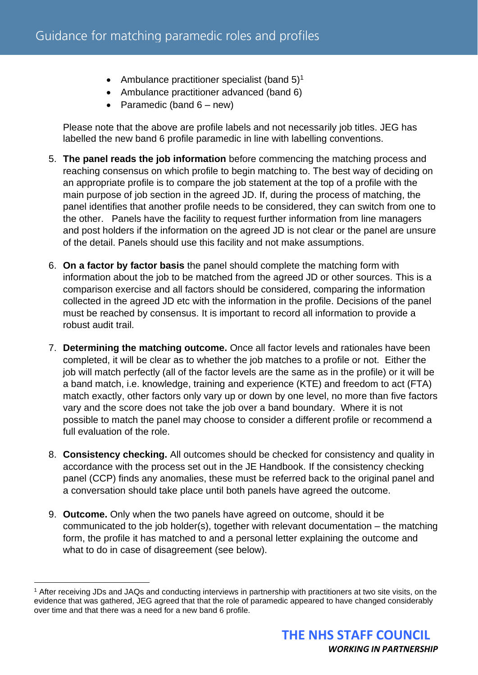- Ambulance practitioner specialist (band  $5$ )<sup>1</sup>
- Ambulance practitioner advanced (band 6)
- Paramedic (band  $6 new$ )

Please note that the above are profile labels and not necessarily job titles. JEG has labelled the new band 6 profile paramedic in line with labelling conventions.

- 5. **The panel reads the job information** before commencing the matching process and reaching consensus on which profile to begin matching to. The best way of deciding on an appropriate profile is to compare the job statement at the top of a profile with the main purpose of job section in the agreed JD. If, during the process of matching, the panel identifies that another profile needs to be considered, they can switch from one to the other. Panels have the facility to request further information from line managers and post holders if the information on the agreed JD is not clear or the panel are unsure of the detail. Panels should use this facility and not make assumptions.
- 6. **On a factor by factor basis** the panel should complete the matching form with information about the job to be matched from the agreed JD or other sources. This is a comparison exercise and all factors should be considered, comparing the information collected in the agreed JD etc with the information in the profile. Decisions of the panel must be reached by consensus. It is important to record all information to provide a robust audit trail.
- 7. **Determining the matching outcome.** Once all factor levels and rationales have been completed, it will be clear as to whether the job matches to a profile or not. Either the job will match perfectly (all of the factor levels are the same as in the profile) or it will be a band match, i.e. knowledge, training and experience (KTE) and freedom to act (FTA) match exactly, other factors only vary up or down by one level, no more than five factors vary and the score does not take the job over a band boundary. Where it is not possible to match the panel may choose to consider a different profile or recommend a full evaluation of the role.
- 8. **Consistency checking.** All outcomes should be checked for consistency and quality in accordance with the process set out in the JE Handbook. If the consistency checking panel (CCP) finds any anomalies, these must be referred back to the original panel and a conversation should take place until both panels have agreed the outcome.
- 9. **Outcome.** Only when the two panels have agreed on outcome, should it be communicated to the job holder(s), together with relevant documentation – the matching form, the profile it has matched to and a personal letter explaining the outcome and what to do in case of disagreement (see below).

<sup>&</sup>lt;sup>1</sup> After receiving JDs and JAQs and conducting interviews in partnership with practitioners at two site visits, on the evidence that was gathered, JEG agreed that that the role of paramedic appeared to have changed considerably over time and that there was a need for a new band 6 profile.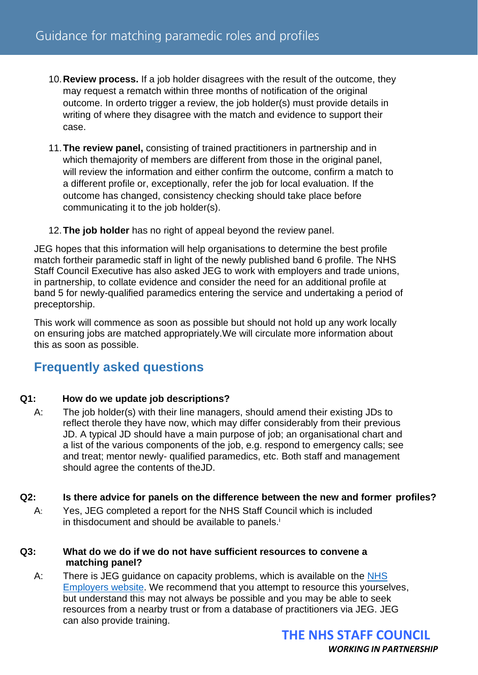- 10.**Review process.** If a job holder disagrees with the result of the outcome, they may request a rematch within three months of notification of the original outcome. In orderto trigger a review, the job holder(s) must provide details in writing of where they disagree with the match and evidence to support their case.
- 11.**The review panel,** consisting of trained practitioners in partnership and in which themajority of members are different from those in the original panel, will review the information and either confirm the outcome, confirm a match to a different profile or, exceptionally, refer the job for local evaluation. If the outcome has changed, consistency checking should take place before communicating it to the job holder(s).
- 12.**The job holder** has no right of appeal beyond the review panel.

JEG hopes that this information will help organisations to determine the best profile match fortheir paramedic staff in light of the newly published band 6 profile. The NHS Staff Council Executive has also asked JEG to work with employers and trade unions, in partnership, to collate evidence and consider the need for an additional profile at band 5 for newly-qualified paramedics entering the service and undertaking a period of preceptorship.

This work will commence as soon as possible but should not hold up any work locally on ensuring jobs are matched appropriately.We will circulate more information about this as soon as possible.

### **Frequently asked questions**

#### **Q1: How do we update job descriptions?**

A: The job holder(s) with their line managers, should amend their existing JDs to reflect therole they have now, which may differ considerably from their previous JD. A typical JD should have a main purpose of job; an organisational chart and a list of the various components of the job, e.g. respond to emergency calls; see and treat; mentor newly- qualified paramedics, etc. Both staff and management should agree the contents of theJD.

#### **Q2: Is there advice for panels on the difference between the new and former profiles?**

A: Yes, JEG completed a report for the NHS Staff Council which is included in thisdocument and should be available to panels.<sup>i</sup>

#### **Q3: What do we do if we do not have sufficient resources to convene a matching panel?**

A: There is JEG guidance on capacity problems, which is available on the [NHS](https://www.nhsemployers.org/articles/maintaining-capacity-job-evaluation)  [Employers website.](https://www.nhsemployers.org/articles/maintaining-capacity-job-evaluation) We recommend that you attempt to resource this yourselves, but understand this may not always be possible and you may be able to seek resources from a nearby trust or from a database of practitioners via JEG. JEG can also provide training.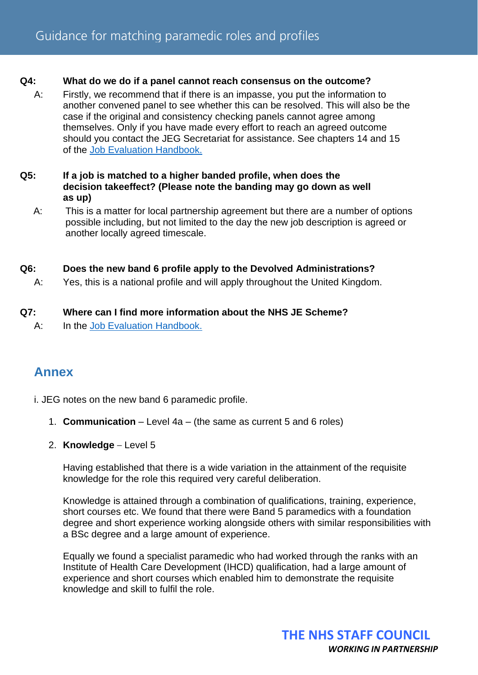#### **Q4: What do we do if a panel cannot reach consensus on the outcome?**

A: Firstly, we recommend that if there is an impasse, you put the information to another convened panel to see whether this can be resolved. This will also be the case if the original and consistency checking panels cannot agree among themselves. Only if you have made every effort to reach an agreed outcome should you contact the JEG Secretariat for assistance. See chapters 14 and 15 of the [Job Evaluation Handbook.](https://www.nhsemployers.org/publications/nhs-job-evaluation-handbook)

#### **Q5: If a job is matched to a higher banded profile, when does the decision takeeffect? (Please note the banding may go down as well as up)**

 A: This is a matter for local partnership agreement but there are a number of options possible including, but not limited to the day the new job description is agreed or another locally agreed timescale.

#### **Q6: Does the new band 6 profile apply to the Devolved Administrations?**

A: Yes, this is a national profile and will apply throughout the United Kingdom.

#### **Q7: Where can I find more information about the NHS JE Scheme?**

A: In the Job Evaluation [Handbook.](https://www.nhsemployers.org/publications/nhs-job-evaluation-handbook)

### **Annex**

i. JEG notes on the new band 6 paramedic profile.

- 1. **Communication** Level 4a (the same as current 5 and 6 roles)
- 2. **Knowledge** Level 5

Having established that there is a wide variation in the attainment of the requisite knowledge for the role this required very careful deliberation.

Knowledge is attained through a combination of qualifications, training, experience, short courses etc. We found that there were Band 5 paramedics with a foundation degree and short experience working alongside others with similar responsibilities with a BSc degree and a large amount of experience.

Equally we found a specialist paramedic who had worked through the ranks with an Institute of Health Care Development (IHCD) qualification, had a large amount of experience and short courses which enabled him to demonstrate the requisite knowledge and skill to fulfil the role.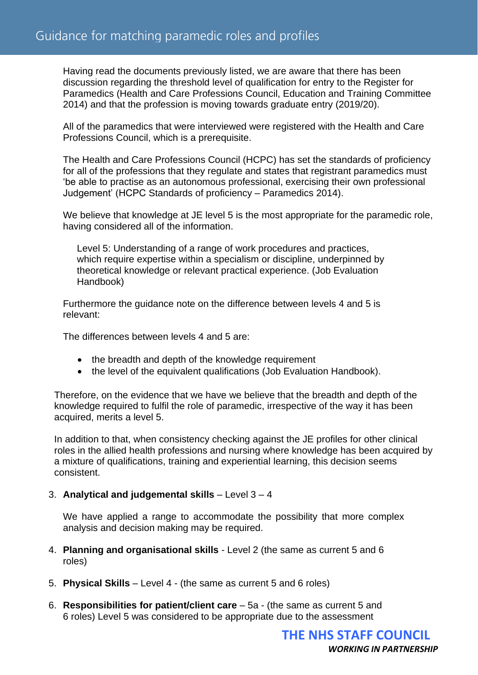Having read the documents previously listed, we are aware that there has been discussion regarding the threshold level of qualification for entry to the Register for Paramedics (Health and Care Professions Council, Education and Training Committee 2014) and that the profession is moving towards graduate entry (2019/20).

All of the paramedics that were interviewed were registered with the Health and Care Professions Council, which is a prerequisite.

The Health and Care Professions Council (HCPC) has set the standards of proficiency for all of the professions that they regulate and states that registrant paramedics must 'be able to practise as an autonomous professional, exercising their own professional Judgement' (HCPC Standards of proficiency – Paramedics 2014).

We believe that knowledge at JE level 5 is the most appropriate for the paramedic role, having considered all of the information.

Level 5: Understanding of a range of work procedures and practices, which require expertise within a specialism or discipline, underpinned by theoretical knowledge or relevant practical experience. (Job Evaluation Handbook)

Furthermore the guidance note on the difference between levels 4 and 5 is relevant:

The differences between levels 4 and 5 are:

- the breadth and depth of the knowledge requirement
- the level of the equivalent qualifications (Job Evaluation Handbook).

Therefore, on the evidence that we have we believe that the breadth and depth of the knowledge required to fulfil the role of paramedic, irrespective of the way it has been acquired, merits a level 5.

In addition to that, when consistency checking against the JE profiles for other clinical roles in the allied health professions and nursing where knowledge has been acquired by a mixture of qualifications, training and experiential learning, this decision seems consistent.

#### 3. **Analytical and judgemental skills** – Level 3 – 4

We have applied a range to accommodate the possibility that more complex analysis and decision making may be required.

- 4. **Planning and organisational skills**  Level 2 (the same as current 5 and 6 roles)
- 5. **Physical Skills** Level 4 (the same as current 5 and 6 roles)
- 6. **Responsibilities for patient/client care**  5a (the same as current 5 and 6 roles) Level 5 was considered to be appropriate due to the assessment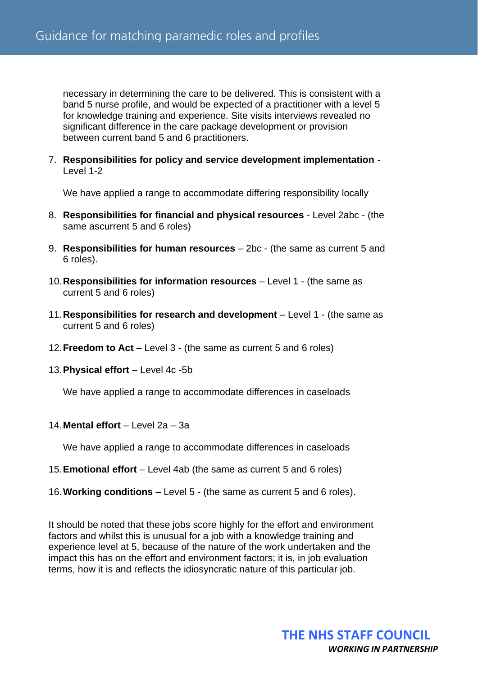necessary in determining the care to be delivered. This is consistent with a band 5 nurse profile, and would be expected of a practitioner with a level 5 for knowledge training and experience. Site visits interviews revealed no significant difference in the care package development or provision between current band 5 and 6 practitioners.

7. **Responsibilities for policy and service development implementation** - Level 1-2

We have applied a range to accommodate differing responsibility locally

- 8. **Responsibilities for financial and physical resources**  Level 2abc (the same ascurrent 5 and 6 roles)
- 9. **Responsibilities for human resources**  2bc (the same as current 5 and 6 roles).
- 10.**Responsibilities for information resources**  Level 1 (the same as current 5 and 6 roles)
- 11.**Responsibilities for research and development** Level 1 (the same as current 5 and 6 roles)
- 12.**Freedom to Act**  Level 3 (the same as current 5 and 6 roles)
- 13.**Physical effort** Level 4c -5b

We have applied a range to accommodate differences in caseloads

14.**Mental effort** – Level 2a – 3a

We have applied a range to accommodate differences in caseloads

- 15.**Emotional effort** Level 4ab (the same as current 5 and 6 roles)
- 16.**Working conditions** Level 5 (the same as current 5 and 6 roles).

It should be noted that these jobs score highly for the effort and environment factors and whilst this is unusual for a job with a knowledge training and experience level at 5, because of the nature of the work undertaken and the impact this has on the effort and environment factors; it is, in job evaluation terms, how it is and reflects the idiosyncratic nature of this particular job.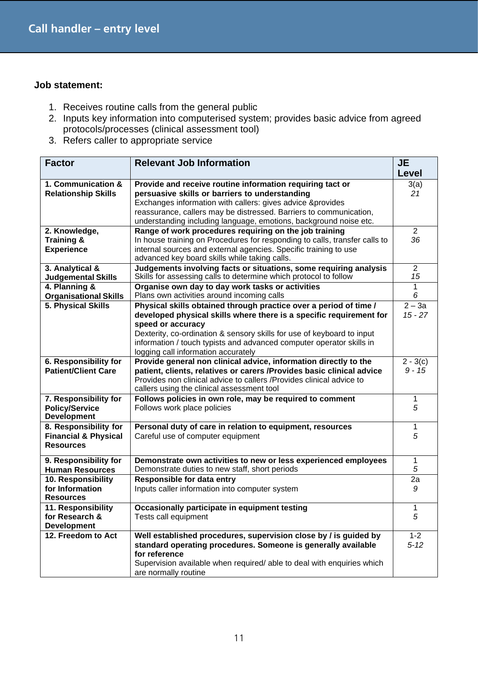- 1. Receives routine calls from the general public
- 2. Inputs key information into computerised system; provides basic advice from agreed protocols/processes (clinical assessment tool)
- 3. Refers caller to appropriate service

| <b>Factor</b>                                                                | <b>Relevant Job Information</b>                                                                                                                                                                                                                                                                                                                        | <b>JE</b><br>Level     |
|------------------------------------------------------------------------------|--------------------------------------------------------------------------------------------------------------------------------------------------------------------------------------------------------------------------------------------------------------------------------------------------------------------------------------------------------|------------------------|
| 1. Communication &<br><b>Relationship Skills</b>                             | Provide and receive routine information requiring tact or<br>persuasive skills or barriers to understanding<br>Exchanges information with callers: gives advice &provides<br>reassurance, callers may be distressed. Barriers to communication,                                                                                                        | 3(a)<br>21             |
|                                                                              | understanding including language, emotions, background noise etc.                                                                                                                                                                                                                                                                                      |                        |
| 2. Knowledge,<br>Training &<br><b>Experience</b>                             | Range of work procedures requiring on the job training<br>In house training on Procedures for responding to calls, transfer calls to<br>internal sources and external agencies. Specific training to use<br>advanced key board skills while taking calls.                                                                                              | $\overline{2}$<br>36   |
| 3. Analytical &<br><b>Judgemental Skills</b>                                 | Judgements involving facts or situations, some requiring analysis<br>Skills for assessing calls to determine which protocol to follow                                                                                                                                                                                                                  | $\overline{2}$<br>15   |
| 4. Planning &<br><b>Organisational Skills</b>                                | Organise own day to day work tasks or activities<br>Plans own activities around incoming calls                                                                                                                                                                                                                                                         | 1<br>6                 |
| 5. Physical Skills                                                           | Physical skills obtained through practice over a period of time /<br>developed physical skills where there is a specific requirement for<br>speed or accuracy<br>Dexterity, co-ordination & sensory skills for use of keyboard to input<br>information / touch typists and advanced computer operator skills in<br>logging call information accurately | $2 - 3a$<br>$15 - 27$  |
| 6. Responsibility for<br><b>Patient/Client Care</b>                          | Provide general non clinical advice, information directly to the<br>patient, clients, relatives or carers / Provides basic clinical advice<br>Provides non clinical advice to callers / Provides clinical advice to<br>callers using the clinical assessment tool                                                                                      | $2 - 3(c)$<br>$9 - 15$ |
| 7. Responsibility for<br><b>Policy/Service</b><br><b>Development</b>         | Follows policies in own role, may be required to comment<br>Follows work place policies                                                                                                                                                                                                                                                                | 1<br>5                 |
| 8. Responsibility for<br><b>Financial &amp; Physical</b><br><b>Resources</b> | Personal duty of care in relation to equipment, resources<br>Careful use of computer equipment                                                                                                                                                                                                                                                         | 1<br>5                 |
| 9. Responsibility for<br><b>Human Resources</b>                              | Demonstrate own activities to new or less experienced employees<br>Demonstrate duties to new staff, short periods                                                                                                                                                                                                                                      | 1<br>5                 |
| 10. Responsibility<br>for Information<br><b>Resources</b>                    | <b>Responsible for data entry</b><br>Inputs caller information into computer system                                                                                                                                                                                                                                                                    | 2a<br>9                |
| 11. Responsibility<br>for Research &<br><b>Development</b>                   | Occasionally participate in equipment testing<br>Tests call equipment                                                                                                                                                                                                                                                                                  | 1<br>5                 |
| 12. Freedom to Act                                                           | Well established procedures, supervision close by / is guided by<br>standard operating procedures. Someone is generally available<br>for reference<br>Supervision available when required/ able to deal with enquiries which<br>are normally routine                                                                                                   | $1 - 2$<br>$5 - 12$    |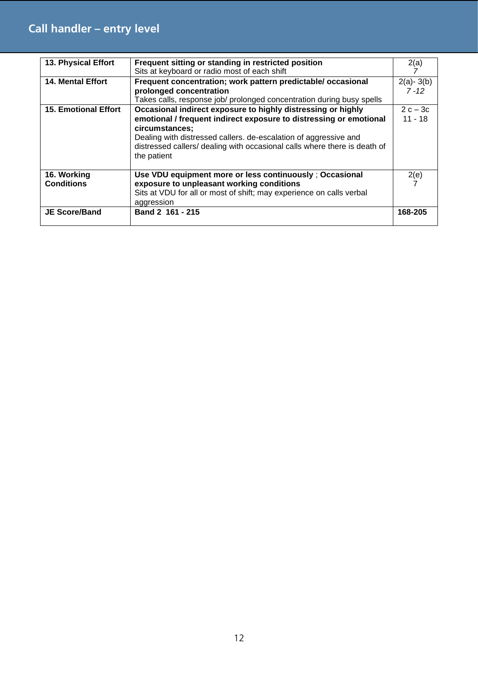## **Call handler – entry level**

| 13. Physical Effort         | Frequent sitting or standing in restricted position                       | 2(a)          |
|-----------------------------|---------------------------------------------------------------------------|---------------|
|                             | Sits at keyboard or radio most of each shift                              |               |
| <b>14. Mental Effort</b>    | Frequent concentration; work pattern predictable/ occasional              | $2(a) - 3(b)$ |
|                             | prolonged concentration                                                   | $7 - 12$      |
|                             | Takes calls, response job/ prolonged concentration during busy spells     |               |
| <b>15. Emotional Effort</b> | Occasional indirect exposure to highly distressing or highly              | $2c-3c$       |
|                             | emotional / frequent indirect exposure to distressing or emotional        | $11 - 18$     |
|                             | circumstances;                                                            |               |
|                             | Dealing with distressed callers. de-escalation of aggressive and          |               |
|                             | distressed callers/ dealing with occasional calls where there is death of |               |
|                             | the patient                                                               |               |
|                             |                                                                           |               |
| 16. Working                 | Use VDU equipment more or less continuously; Occasional                   | 2(e)          |
| <b>Conditions</b>           | exposure to unpleasant working conditions                                 |               |
|                             | Sits at VDU for all or most of shift; may experience on calls verbal      |               |
|                             | aggression                                                                |               |
| <b>JE Score/Band</b>        | Band 2 161 - 215                                                          | 168-205       |
|                             |                                                                           |               |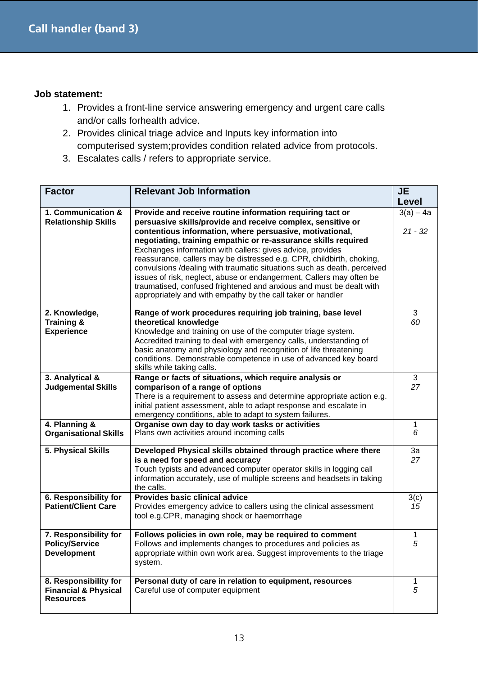- 1. Provides a front-line service answering emergency and urgent care calls and/or calls forhealth advice.
- 2. Provides clinical triage advice and Inputs key information into computerised system;provides condition related advice from protocols.
- 3. Escalates calls / refers to appropriate service.

| <b>Factor</b>                                                                | <b>Relevant Job Information</b>                                                                                                                                                                                                                                                                                                                                                                                                                                                                                                                                                                                                                                                        | JE<br>Level              |
|------------------------------------------------------------------------------|----------------------------------------------------------------------------------------------------------------------------------------------------------------------------------------------------------------------------------------------------------------------------------------------------------------------------------------------------------------------------------------------------------------------------------------------------------------------------------------------------------------------------------------------------------------------------------------------------------------------------------------------------------------------------------------|--------------------------|
| 1. Communication &<br><b>Relationship Skills</b>                             | Provide and receive routine information requiring tact or<br>persuasive skills/provide and receive complex, sensitive or<br>contentious information, where persuasive, motivational,<br>negotiating, training empathic or re-assurance skills required<br>Exchanges information with callers: gives advice, provides<br>reassurance, callers may be distressed e.g. CPR, childbirth, choking,<br>convulsions /dealing with traumatic situations such as death, perceived<br>issues of risk, neglect, abuse or endangerment, Callers may often be<br>traumatised, confused frightened and anxious and must be dealt with<br>appropriately and with empathy by the call taker or handler | $3(a) - 4a$<br>$21 - 32$ |
| 2. Knowledge,<br>Training &<br><b>Experience</b>                             | Range of work procedures requiring job training, base level<br>theoretical knowledge<br>Knowledge and training on use of the computer triage system.<br>Accredited training to deal with emergency calls, understanding of<br>basic anatomy and physiology and recognition of life threatening<br>conditions. Demonstrable competence in use of advanced key board<br>skills while taking calls.                                                                                                                                                                                                                                                                                       | 3<br>60                  |
| 3. Analytical &<br><b>Judgemental Skills</b>                                 | Range or facts of situations, which require analysis or<br>comparison of a range of options<br>There is a requirement to assess and determine appropriate action e.g.<br>initial patient assessment, able to adapt response and escalate in<br>emergency conditions, able to adapt to system failures.                                                                                                                                                                                                                                                                                                                                                                                 | 3<br>27                  |
| 4. Planning &<br><b>Organisational Skills</b>                                | Organise own day to day work tasks or activities<br>Plans own activities around incoming calls                                                                                                                                                                                                                                                                                                                                                                                                                                                                                                                                                                                         | 1<br>6                   |
| 5. Physical Skills                                                           | Developed Physical skills obtained through practice where there<br>is a need for speed and accuracy<br>Touch typists and advanced computer operator skills in logging call<br>information accurately, use of multiple screens and headsets in taking<br>the calls.                                                                                                                                                                                                                                                                                                                                                                                                                     | 3a<br>27                 |
| 6. Responsibility for<br><b>Patient/Client Care</b>                          | <b>Provides basic clinical advice</b><br>Provides emergency advice to callers using the clinical assessment<br>tool e.g.CPR, managing shock or haemorrhage                                                                                                                                                                                                                                                                                                                                                                                                                                                                                                                             | 3(c)<br>15               |
| 7. Responsibility for<br><b>Policy/Service</b><br><b>Development</b>         | Follows policies in own role, may be required to comment<br>Follows and implements changes to procedures and policies as<br>appropriate within own work area. Suggest improvements to the triage<br>system.                                                                                                                                                                                                                                                                                                                                                                                                                                                                            | 1<br>5                   |
| 8. Responsibility for<br><b>Financial &amp; Physical</b><br><b>Resources</b> | Personal duty of care in relation to equipment, resources<br>Careful use of computer equipment                                                                                                                                                                                                                                                                                                                                                                                                                                                                                                                                                                                         | 1<br>5                   |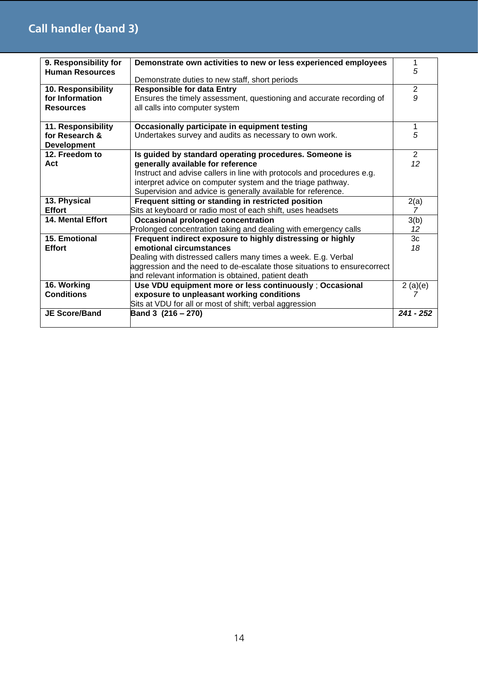| 9. Responsibility for<br><b>Human Resources</b> | Demonstrate own activities to new or less experienced employees          | 1<br>5      |
|-------------------------------------------------|--------------------------------------------------------------------------|-------------|
|                                                 | Demonstrate duties to new staff, short periods                           |             |
| 10. Responsibility                              | <b>Responsible for data Entry</b>                                        | 2           |
| for Information                                 | Ensures the timely assessment, questioning and accurate recording of     | 9           |
| <b>Resources</b>                                | all calls into computer system                                           |             |
|                                                 |                                                                          |             |
| 11. Responsibility                              | Occasionally participate in equipment testing                            | 1           |
| for Research &                                  | Undertakes survey and audits as necessary to own work.                   | 5           |
| <b>Development</b>                              |                                                                          |             |
| 12. Freedom to                                  | Is guided by standard operating procedures. Someone is                   | 2           |
| Act                                             | generally available for reference                                        | 12          |
|                                                 | Instruct and advise callers in line with protocols and procedures e.g.   |             |
|                                                 | interpret advice on computer system and the triage pathway.              |             |
|                                                 | Supervision and advice is generally available for reference.             |             |
| 13. Physical                                    | Frequent sitting or standing in restricted position                      | 2(a)        |
| <b>Effort</b>                                   | Sits at keyboard or radio most of each shift, uses headsets              | 7           |
| 14. Mental Effort                               | <b>Occasional prolonged concentration</b>                                | 3(b)        |
|                                                 | Prolonged concentration taking and dealing with emergency calls          | 12          |
| 15. Emotional                                   | Frequent indirect exposure to highly distressing or highly               | 3c          |
| <b>Effort</b>                                   | emotional circumstances                                                  | 18          |
|                                                 | Dealing with distressed callers many times a week. E.g. Verbal           |             |
|                                                 | aggression and the need to de-escalate those situations to ensurecorrect |             |
|                                                 | and relevant information is obtained, patient death                      |             |
| 16. Working                                     | Use VDU equipment more or less continuously; Occasional                  | 2(a)(e)     |
| <b>Conditions</b>                               | exposure to unpleasant working conditions                                |             |
|                                                 | Sits at VDU for all or most of shift; verbal aggression                  |             |
| <b>JE Score/Band</b>                            | Band 3 (216 – 270)                                                       | $241 - 252$ |
|                                                 |                                                                          |             |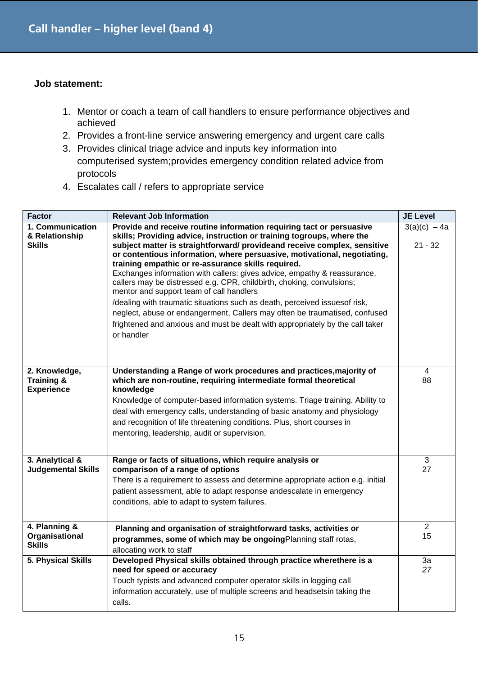- 1. Mentor or coach a team of call handlers to ensure performance objectives and achieved
- 2. Provides a front-line service answering emergency and urgent care calls
- 3. Provides clinical triage advice and inputs key information into computerised system;provides emergency condition related advice from protocols
- 4. Escalates call / refers to appropriate service

| <b>Factor</b>                                       | <b>Relevant Job Information</b>                                                                                                                                                                                                                                                                                                                                                                                                                                                                                                                                                                                                                                                                                                                                                                                         | <b>JE Level</b>             |
|-----------------------------------------------------|-------------------------------------------------------------------------------------------------------------------------------------------------------------------------------------------------------------------------------------------------------------------------------------------------------------------------------------------------------------------------------------------------------------------------------------------------------------------------------------------------------------------------------------------------------------------------------------------------------------------------------------------------------------------------------------------------------------------------------------------------------------------------------------------------------------------------|-----------------------------|
| 1. Communication<br>& Relationship<br><b>Skills</b> | Provide and receive routine information requiring tact or persuasive<br>skills; Providing advice, instruction or training togroups, where the<br>subject matter is straightforward/ provideand receive complex, sensitive<br>or contentious information, where persuasive, motivational, negotiating,<br>training empathic or re-assurance skills required.<br>Exchanges information with callers: gives advice, empathy & reassurance,<br>callers may be distressed e.g. CPR, childbirth, choking, convulsions;<br>mentor and support team of call handlers<br>/dealing with traumatic situations such as death, perceived issuesof risk,<br>neglect, abuse or endangerment, Callers may often be traumatised, confused<br>frightened and anxious and must be dealt with appropriately by the call taker<br>or handler | $3(a)(c) - 4a$<br>$21 - 32$ |
| 2. Knowledge,<br>Training &<br><b>Experience</b>    | Understanding a Range of work procedures and practices, majority of<br>which are non-routine, requiring intermediate formal theoretical<br>knowledge<br>Knowledge of computer-based information systems. Triage training. Ability to<br>deal with emergency calls, understanding of basic anatomy and physiology<br>and recognition of life threatening conditions. Plus, short courses in<br>mentoring, leadership, audit or supervision.                                                                                                                                                                                                                                                                                                                                                                              | 4<br>88                     |
| 3. Analytical &<br><b>Judgemental Skills</b>        | Range or facts of situations, which require analysis or<br>comparison of a range of options<br>There is a requirement to assess and determine appropriate action e.g. initial<br>patient assessment, able to adapt response andescalate in emergency<br>conditions, able to adapt to system failures.                                                                                                                                                                                                                                                                                                                                                                                                                                                                                                                   | 3<br>27                     |
| 4. Planning &<br>Organisational<br><b>Skills</b>    | Planning and organisation of straightforward tasks, activities or<br>programmes, some of which may be ongoing Planning staff rotas,<br>allocating work to staff                                                                                                                                                                                                                                                                                                                                                                                                                                                                                                                                                                                                                                                         | $\overline{2}$<br>15        |
| 5. Physical Skills                                  | Developed Physical skills obtained through practice wherethere is a<br>need for speed or accuracy<br>Touch typists and advanced computer operator skills in logging call<br>information accurately, use of multiple screens and headsetsin taking the<br>calls.                                                                                                                                                                                                                                                                                                                                                                                                                                                                                                                                                         | За<br>27                    |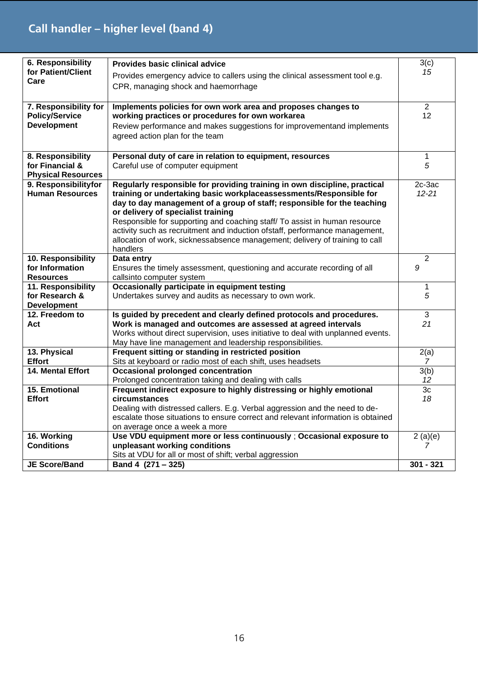# **Call handler – higher level (band 4)**

| 6. Responsibility                                 | Provides basic clinical advice                                                   | 3(c)           |
|---------------------------------------------------|----------------------------------------------------------------------------------|----------------|
| for Patient/Client                                | Provides emergency advice to callers using the clinical assessment tool e.g.     | 15             |
| Care                                              | CPR, managing shock and haemorrhage                                              |                |
|                                                   |                                                                                  |                |
| 7. Responsibility for                             | Implements policies for own work area and proposes changes to                    | $\overline{2}$ |
| <b>Policy/Service</b>                             | working practices or procedures for own workarea                                 | 12             |
| <b>Development</b>                                | Review performance and makes suggestions for improvementand implements           |                |
|                                                   |                                                                                  |                |
|                                                   | agreed action plan for the team                                                  |                |
|                                                   |                                                                                  |                |
| 8. Responsibility                                 | Personal duty of care in relation to equipment, resources                        | 1<br>5         |
| for Financial &                                   | Careful use of computer equipment                                                |                |
| <b>Physical Resources</b><br>9. Responsibilityfor | Regularly responsible for providing training in own discipline, practical        | 2c-3ac         |
| <b>Human Resources</b>                            | training or undertaking basic workplaceassessments/Responsible for               | $12 - 21$      |
|                                                   | day to day management of a group of staff; responsible for the teaching          |                |
|                                                   | or delivery of specialist training                                               |                |
|                                                   | Responsible for supporting and coaching staff/ To assist in human resource       |                |
|                                                   | activity such as recruitment and induction ofstaff, performance management,      |                |
|                                                   | allocation of work, sicknessabsence management; delivery of training to call     |                |
|                                                   | handlers                                                                         |                |
| 10. Responsibility                                | Data entry                                                                       | $\overline{2}$ |
| for Information                                   | Ensures the timely assessment, questioning and accurate recording of all         | 9              |
| <b>Resources</b>                                  | callsinto computer system                                                        |                |
| 11. Responsibility                                | Occasionally participate in equipment testing                                    | 1              |
| for Research &                                    | Undertakes survey and audits as necessary to own work.                           | 5              |
| <b>Development</b>                                |                                                                                  |                |
| 12. Freedom to                                    | Is guided by precedent and clearly defined protocols and procedures.             | 3              |
| Act                                               | Work is managed and outcomes are assessed at agreed intervals                    | 21             |
|                                                   | Works without direct supervision, uses initiative to deal with unplanned events. |                |
|                                                   | May have line management and leadership responsibilities.                        |                |
| 13. Physical                                      | Frequent sitting or standing in restricted position                              | 2(a)           |
| <b>Effort</b>                                     | Sits at keyboard or radio most of each shift, uses headsets                      | 7              |
| <b>14. Mental Effort</b>                          | <b>Occasional prolonged concentration</b>                                        | 3(b)           |
|                                                   | Prolonged concentration taking and dealing with calls                            | 12             |
| 15. Emotional                                     | Frequent indirect exposure to highly distressing or highly emotional             | 3c             |
| <b>Effort</b>                                     | circumstances                                                                    | 18             |
|                                                   | Dealing with distressed callers. E.g. Verbal aggression and the need to de-      |                |
|                                                   | escalate those situations to ensure correct and relevant information is obtained |                |
|                                                   | on average once a week a more                                                    |                |
| 16. Working                                       | Use VDU equipment more or less continuously ; Occasional exposure to             | 2(a)(e)        |
| <b>Conditions</b>                                 | unpleasant working conditions                                                    | 7              |
|                                                   | Sits at VDU for all or most of shift; verbal aggression                          |                |
| <b>JE Score/Band</b>                              | Band 4 (271 - 325)                                                               | $301 - 321$    |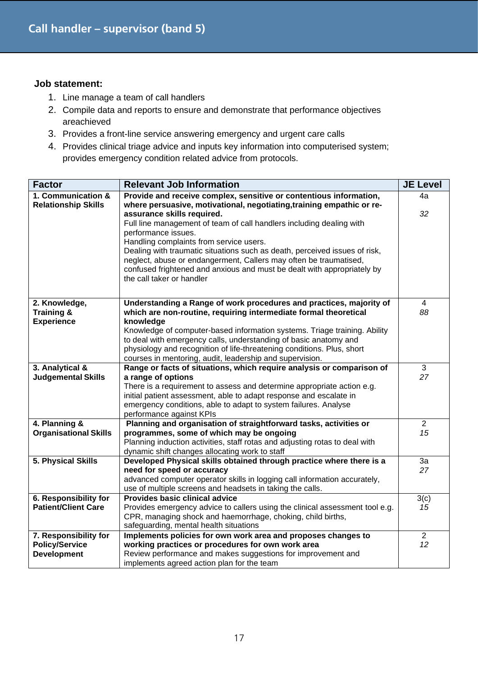- 1. Line manage a team of call handlers
- 2. Compile data and reports to ensure and demonstrate that performance objectives areachieved
- 3. Provides a front-line service answering emergency and urgent care calls
- 4. Provides clinical triage advice and inputs key information into computerised system; provides emergency condition related advice from protocols.

| <b>Factor</b>                   | <b>Relevant Job Information</b>                                                                                                              | <b>JE Level</b> |
|---------------------------------|----------------------------------------------------------------------------------------------------------------------------------------------|-----------------|
| 1. Communication &              | Provide and receive complex, sensitive or contentious information,                                                                           | 4a              |
| <b>Relationship Skills</b>      | where persuasive, motivational, negotiating, training empathic or re-                                                                        |                 |
|                                 | assurance skills required.                                                                                                                   | 32              |
|                                 | Full line management of team of call handlers including dealing with                                                                         |                 |
|                                 | performance issues.                                                                                                                          |                 |
|                                 | Handling complaints from service users.                                                                                                      |                 |
|                                 | Dealing with traumatic situations such as death, perceived issues of risk,                                                                   |                 |
|                                 | neglect, abuse or endangerment, Callers may often be traumatised,<br>confused frightened and anxious and must be dealt with appropriately by |                 |
|                                 | the call taker or handler                                                                                                                    |                 |
|                                 |                                                                                                                                              |                 |
|                                 |                                                                                                                                              |                 |
| 2. Knowledge,                   | Understanding a Range of work procedures and practices, majority of                                                                          | 4               |
| Training &<br><b>Experience</b> | which are non-routine, requiring intermediate formal theoretical<br>knowledge                                                                | 88              |
|                                 | Knowledge of computer-based information systems. Triage training. Ability                                                                    |                 |
|                                 | to deal with emergency calls, understanding of basic anatomy and                                                                             |                 |
|                                 | physiology and recognition of life-threatening conditions. Plus, short                                                                       |                 |
|                                 | courses in mentoring, audit, leadership and supervision.                                                                                     |                 |
| 3. Analytical &                 | Range or facts of situations, which require analysis or comparison of                                                                        | 3               |
| <b>Judgemental Skills</b>       | a range of options                                                                                                                           | 27              |
|                                 | There is a requirement to assess and determine appropriate action e.g.                                                                       |                 |
|                                 | initial patient assessment, able to adapt response and escalate in                                                                           |                 |
|                                 | emergency conditions, able to adapt to system failures. Analyse                                                                              |                 |
|                                 | performance against KPIs                                                                                                                     |                 |
| 4. Planning &                   | Planning and organisation of straightforward tasks, activities or                                                                            | $\overline{2}$  |
| <b>Organisational Skills</b>    | programmes, some of which may be ongoing                                                                                                     | 15              |
|                                 | Planning induction activities, staff rotas and adjusting rotas to deal with                                                                  |                 |
| 5. Physical Skills              | dynamic shift changes allocating work to staff<br>Developed Physical skills obtained through practice where there is a                       | 3a              |
|                                 | need for speed or accuracy                                                                                                                   | 27              |
|                                 | advanced computer operator skills in logging call information accurately,                                                                    |                 |
|                                 | use of multiple screens and headsets in taking the calls.                                                                                    |                 |
| 6. Responsibility for           | Provides basic clinical advice                                                                                                               | 3(c)            |
| <b>Patient/Client Care</b>      | Provides emergency advice to callers using the clinical assessment tool e.g.                                                                 | 15              |
|                                 | CPR, managing shock and haemorrhage, choking, child births,                                                                                  |                 |
|                                 | safeguarding, mental health situations                                                                                                       |                 |
| 7. Responsibility for           | Implements policies for own work area and proposes changes to                                                                                | $\overline{2}$  |
| <b>Policy/Service</b>           | working practices or procedures for own work area                                                                                            | 12              |
| <b>Development</b>              | Review performance and makes suggestions for improvement and                                                                                 |                 |
|                                 | implements agreed action plan for the team                                                                                                   |                 |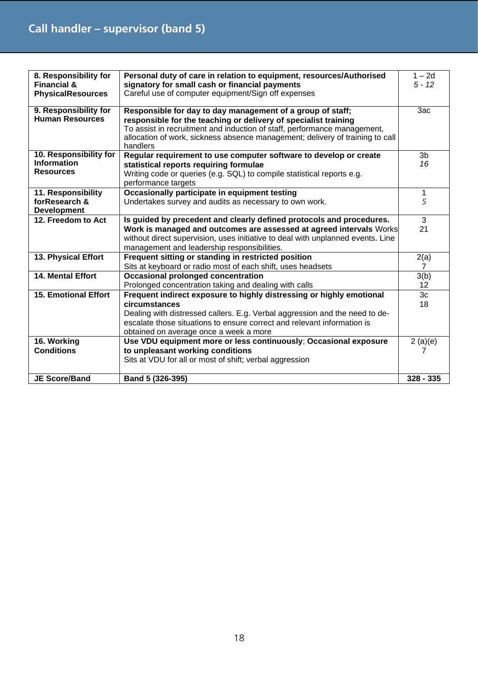| 8. Responsibility for                           | Personal duty of care in relation to equipment, resources/Authorised                                                                                      | $1 - 2d$          |
|-------------------------------------------------|-----------------------------------------------------------------------------------------------------------------------------------------------------------|-------------------|
| <b>Financial &amp;</b>                          | signatory for small cash or financial payments                                                                                                            | $5 - 12$          |
| <b>PhysicalResources</b>                        | Careful use of computer equipment/Sign off expenses                                                                                                       |                   |
|                                                 |                                                                                                                                                           |                   |
| 9. Responsibility for<br><b>Human Resources</b> | Responsible for day to day management of a group of staff;                                                                                                | 3ac               |
|                                                 | responsible for the teaching or delivery of specialist training                                                                                           |                   |
|                                                 | To assist in recruitment and induction of staff, performance management,<br>allocation of work, sickness absence management; delivery of training to call |                   |
|                                                 | handlers                                                                                                                                                  |                   |
| 10. Responsibility for                          | Regular requirement to use computer software to develop or create                                                                                         | 3 <sub>b</sub>    |
| <b>Information</b>                              | statistical reports requiring formulae                                                                                                                    | 16                |
| <b>Resources</b>                                | Writing code or queries (e.g. SQL) to compile statistical reports e.g.                                                                                    |                   |
|                                                 | performance targets                                                                                                                                       |                   |
| 11. Responsibility                              | Occasionally participate in equipment testing                                                                                                             | 1                 |
| forResearch &                                   | Undertakes survey and audits as necessary to own work.                                                                                                    | 5                 |
| <b>Development</b>                              |                                                                                                                                                           |                   |
| 12. Freedom to Act                              | Is guided by precedent and clearly defined protocols and procedures.                                                                                      | 3                 |
|                                                 | Work is managed and outcomes are assessed at agreed intervals Works                                                                                       | 21                |
|                                                 | without direct supervision, uses initiative to deal with unplanned events. Line                                                                           |                   |
|                                                 | management and leadership responsibilities.                                                                                                               |                   |
| 13. Physical Effort                             | Frequent sitting or standing in restricted position                                                                                                       | 2(a)              |
|                                                 | Sits at keyboard or radio most of each shift, uses headsets                                                                                               | $\overline{7}$    |
| <b>14. Mental Effort</b>                        | <b>Occasional prolonged concentration</b>                                                                                                                 | 3(b)              |
|                                                 | Prolonged concentration taking and dealing with calls                                                                                                     | $12 \overline{ }$ |
| <b>15. Emotional Effort</b>                     | Frequent indirect exposure to highly distressing or highly emotional                                                                                      | 3c                |
|                                                 | circumstances                                                                                                                                             | 18                |
|                                                 | Dealing with distressed callers. E.g. Verbal aggression and the need to de-                                                                               |                   |
|                                                 | escalate those situations to ensure correct and relevant information is                                                                                   |                   |
|                                                 | obtained on average once a week a more                                                                                                                    |                   |
| 16. Working                                     | Use VDU equipment more or less continuously; Occasional exposure                                                                                          | 2(a)(e)           |
| <b>Conditions</b>                               | to unpleasant working conditions                                                                                                                          | 7                 |
|                                                 | Sits at VDU for all or most of shift; verbal aggression                                                                                                   |                   |
|                                                 |                                                                                                                                                           |                   |
| <b>JE Score/Band</b>                            | Band 5 (326-395)                                                                                                                                          | $328 - 335$       |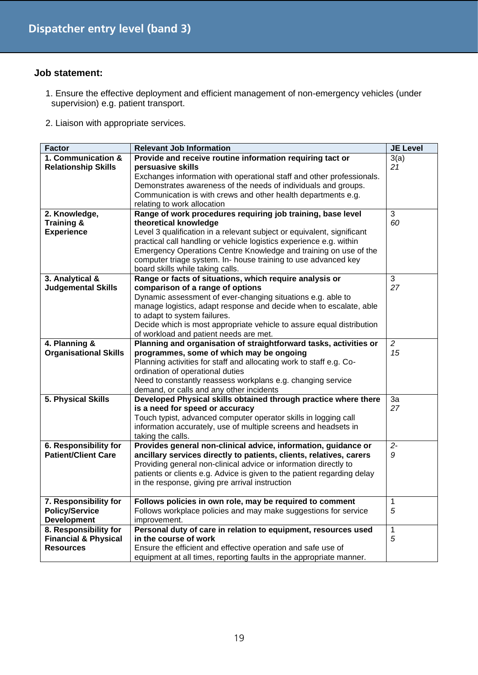- 1. Ensure the effective deployment and efficient management of non-emergency vehicles (under supervision) e.g. patient transport.
- 2. Liaison with appropriate services.

| <b>Factor</b>                   | <b>Relevant Job Information</b>                                         | <b>JE Level</b> |
|---------------------------------|-------------------------------------------------------------------------|-----------------|
| 1. Communication &              | Provide and receive routine information requiring tact or               | 3(a)            |
| <b>Relationship Skills</b>      | persuasive skills                                                       | 21              |
|                                 | Exchanges information with operational staff and other professionals.   |                 |
|                                 | Demonstrates awareness of the needs of individuals and groups.          |                 |
|                                 | Communication is with crews and other health departments e.g.           |                 |
|                                 | relating to work allocation                                             |                 |
| 2. Knowledge,                   | Range of work procedures requiring job training, base level             | 3               |
|                                 |                                                                         | 60              |
| Training &                      | theoretical knowledge                                                   |                 |
| <b>Experience</b>               | Level 3 qualification in a relevant subject or equivalent, significant  |                 |
|                                 | practical call handling or vehicle logistics experience e.g. within     |                 |
|                                 | Emergency Operations Centre Knowledge and training on use of the        |                 |
|                                 | computer triage system. In- house training to use advanced key          |                 |
|                                 | board skills while taking calls.                                        |                 |
| 3. Analytical &                 | Range or facts of situations, which require analysis or                 | 3               |
| <b>Judgemental Skills</b>       | comparison of a range of options                                        | 27              |
|                                 | Dynamic assessment of ever-changing situations e.g. able to             |                 |
|                                 | manage logistics, adapt response and decide when to escalate, able      |                 |
|                                 | to adapt to system failures.                                            |                 |
|                                 | Decide which is most appropriate vehicle to assure equal distribution   |                 |
|                                 | of workload and patient needs are met.                                  |                 |
| 4. Planning &                   | Planning and organisation of straightforward tasks, activities or       | $\overline{2}$  |
| <b>Organisational Skills</b>    | programmes, some of which may be ongoing                                | 15              |
|                                 | Planning activities for staff and allocating work to staff e.g. Co-     |                 |
|                                 |                                                                         |                 |
|                                 | ordination of operational duties                                        |                 |
|                                 | Need to constantly reassess workplans e.g. changing service             |                 |
|                                 | demand, or calls and any other incidents                                |                 |
| 5. Physical Skills              | Developed Physical skills obtained through practice where there         | 3a              |
|                                 | is a need for speed or accuracy                                         | 27              |
|                                 | Touch typist, advanced computer operator skills in logging call         |                 |
|                                 | information accurately, use of multiple screens and headsets in         |                 |
|                                 | taking the calls.                                                       |                 |
| 6. Responsibility for           | Provides general non-clinical advice, information, guidance or          | $2 -$           |
| <b>Patient/Client Care</b>      | ancillary services directly to patients, clients, relatives, carers     | 9               |
|                                 | Providing general non-clinical advice or information directly to        |                 |
|                                 | patients or clients e.g. Advice is given to the patient regarding delay |                 |
|                                 | in the response, giving pre arrival instruction                         |                 |
|                                 |                                                                         |                 |
| 7. Responsibility for           | Follows policies in own role, may be required to comment                | 1               |
| <b>Policy/Service</b>           | Follows workplace policies and may make suggestions for service         | 5               |
| <b>Development</b>              | improvement.                                                            |                 |
| 8. Responsibility for           | Personal duty of care in relation to equipment, resources used          | 1               |
| <b>Financial &amp; Physical</b> | in the course of work                                                   | 5               |
|                                 |                                                                         |                 |
| <b>Resources</b>                | Ensure the efficient and effective operation and safe use of            |                 |
|                                 | equipment at all times, reporting faults in the appropriate manner.     |                 |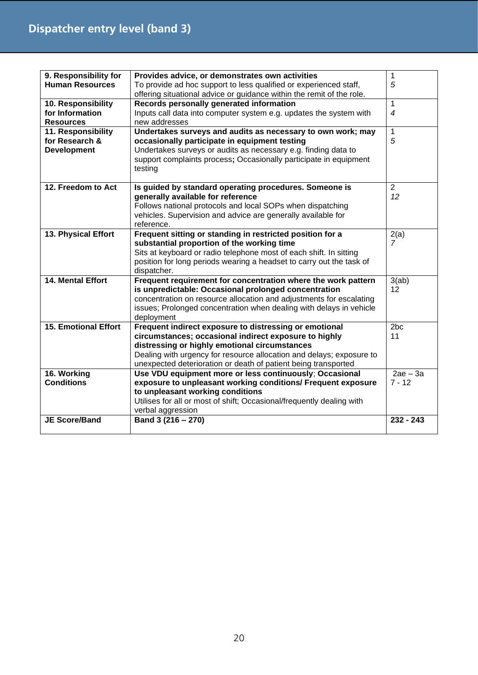| 9. Responsibility for       | Provides advice, or demonstrates own activities                                                                  | $\mathbf 1$            |
|-----------------------------|------------------------------------------------------------------------------------------------------------------|------------------------|
| <b>Human Resources</b>      | To provide ad hoc support to less qualified or experienced staff,                                                | 5                      |
|                             | offering situational advice or guidance within the remit of the role.                                            |                        |
| 10. Responsibility          | Records personally generated information                                                                         | $\mathbf{1}$           |
| for Information             | Inputs call data into computer system e.g. updates the system with                                               | $\overline{4}$         |
| <b>Resources</b>            | new addresses                                                                                                    |                        |
| 11. Responsibility          | Undertakes surveys and audits as necessary to own work; may                                                      | 1                      |
| for Research &              | occasionally participate in equipment testing                                                                    | 5                      |
| <b>Development</b>          | Undertakes surveys or audits as necessary e.g. finding data to                                                   |                        |
|                             | support complaints process; Occasionally participate in equipment                                                |                        |
|                             | testing                                                                                                          |                        |
|                             |                                                                                                                  |                        |
| 12. Freedom to Act          | Is guided by standard operating procedures. Someone is                                                           | $\overline{2}$         |
|                             | generally available for reference                                                                                | 12                     |
|                             | Follows national protocols and local SOPs when dispatching                                                       |                        |
|                             | vehicles. Supervision and advice are generally available for                                                     |                        |
|                             | reference.                                                                                                       |                        |
| 13. Physical Effort         | Frequent sitting or standing in restricted position for a                                                        | 2(a)<br>$\overline{z}$ |
|                             | substantial proportion of the working time<br>Sits at keyboard or radio telephone most of each shift. In sitting |                        |
|                             | position for long periods wearing a headset to carry out the task of                                             |                        |
|                             | dispatcher.                                                                                                      |                        |
| 14. Mental Effort           | Frequent requirement for concentration where the work pattern                                                    | 3(ab)                  |
|                             | is unpredictable: Occasional prolonged concentration                                                             | 12                     |
|                             | concentration on resource allocation and adjustments for escalating                                              |                        |
|                             | issues; Prolonged concentration when dealing with delays in vehicle                                              |                        |
|                             | deployment                                                                                                       |                        |
| <b>15. Emotional Effort</b> | Frequent indirect exposure to distressing or emotional                                                           | 2 <sub>bc</sub>        |
|                             | circumstances; occasional indirect exposure to highly                                                            | 11                     |
|                             | distressing or highly emotional circumstances                                                                    |                        |
|                             | Dealing with urgency for resource allocation and delays; exposure to                                             |                        |
|                             | unexpected deterioration or death of patient being transported                                                   |                        |
| 16. Working                 | Use VDU equipment more or less continuously; Occasional                                                          | $2ae - 3a$             |
| <b>Conditions</b>           | exposure to unpleasant working conditions/ Frequent exposure                                                     | $7 - 12$               |
|                             | to unpleasant working conditions                                                                                 |                        |
|                             | Utilises for all or most of shift; Occasional/frequently dealing with                                            |                        |
|                             | verbal aggression                                                                                                |                        |
| <b>JE Score/Band</b>        | Band 3 (216 - 270)                                                                                               | $232 - 243$            |
|                             |                                                                                                                  |                        |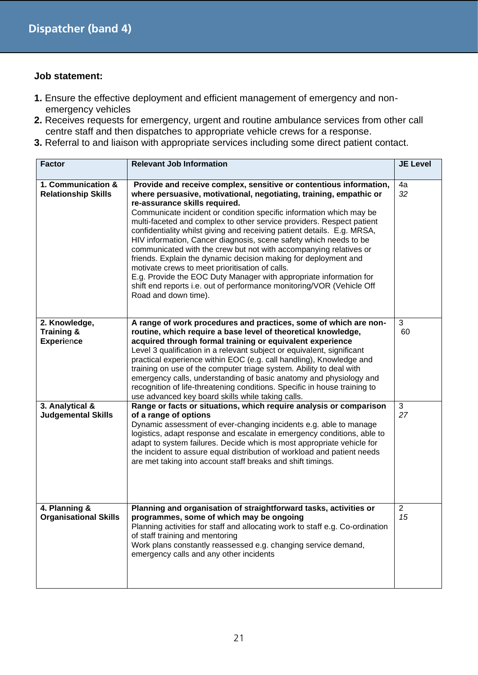- **1.** Ensure the effective deployment and efficient management of emergency and nonemergency vehicles
- **2.** Receives requests for emergency, urgent and routine ambulance services from other call centre staff and then dispatches to appropriate vehicle crews for a response.
- **3.** Referral to and liaison with appropriate services including some direct patient contact.

| <b>Factor</b>                                    | <b>Relevant Job Information</b>                                                                                                                                                                                                                                                                                                                                                                                                                                                                                                                                                                                                                                                                                                                                                                                                             | <b>JE Level</b>      |
|--------------------------------------------------|---------------------------------------------------------------------------------------------------------------------------------------------------------------------------------------------------------------------------------------------------------------------------------------------------------------------------------------------------------------------------------------------------------------------------------------------------------------------------------------------------------------------------------------------------------------------------------------------------------------------------------------------------------------------------------------------------------------------------------------------------------------------------------------------------------------------------------------------|----------------------|
| 1. Communication &<br><b>Relationship Skills</b> | Provide and receive complex, sensitive or contentious information,<br>where persuasive, motivational, negotiating, training, empathic or<br>re-assurance skills required.<br>Communicate incident or condition specific information which may be<br>multi-faceted and complex to other service providers. Respect patient<br>confidentiality whilst giving and receiving patient details. E.g. MRSA,<br>HIV information, Cancer diagnosis, scene safety which needs to be<br>communicated with the crew but not with accompanying relatives or<br>friends. Explain the dynamic decision making for deployment and<br>motivate crews to meet prioritisation of calls.<br>E.g. Provide the EOC Duty Manager with appropriate information for<br>shift end reports i.e. out of performance monitoring/VOR (Vehicle Off<br>Road and down time). | 4a<br>32             |
| 2. Knowledge,<br>Training &<br><b>Experience</b> | A range of work procedures and practices, some of which are non-<br>routine, which require a base level of theoretical knowledge,<br>acquired through formal training or equivalent experience<br>Level 3 qualification in a relevant subject or equivalent, significant<br>practical experience within EOC (e.g. call handling), Knowledge and<br>training on use of the computer triage system. Ability to deal with<br>emergency calls, understanding of basic anatomy and physiology and<br>recognition of life-threatening conditions. Specific in house training to<br>use advanced key board skills while taking calls.                                                                                                                                                                                                              | 3<br>60              |
| 3. Analytical &<br><b>Judgemental Skills</b>     | Range or facts or situations, which require analysis or comparison<br>of a range of options<br>Dynamic assessment of ever-changing incidents e.g. able to manage<br>logistics, adapt response and escalate in emergency conditions, able to<br>adapt to system failures. Decide which is most appropriate vehicle for<br>the incident to assure equal distribution of workload and patient needs<br>are met taking into account staff breaks and shift timings.                                                                                                                                                                                                                                                                                                                                                                             | 3<br>27              |
| 4. Planning &<br><b>Organisational Skills</b>    | Planning and organisation of straightforward tasks, activities or<br>programmes, some of which may be ongoing<br>Planning activities for staff and allocating work to staff e.g. Co-ordination<br>of staff training and mentoring<br>Work plans constantly reassessed e.g. changing service demand,<br>emergency calls and any other incidents                                                                                                                                                                                                                                                                                                                                                                                                                                                                                              | $\overline{2}$<br>15 |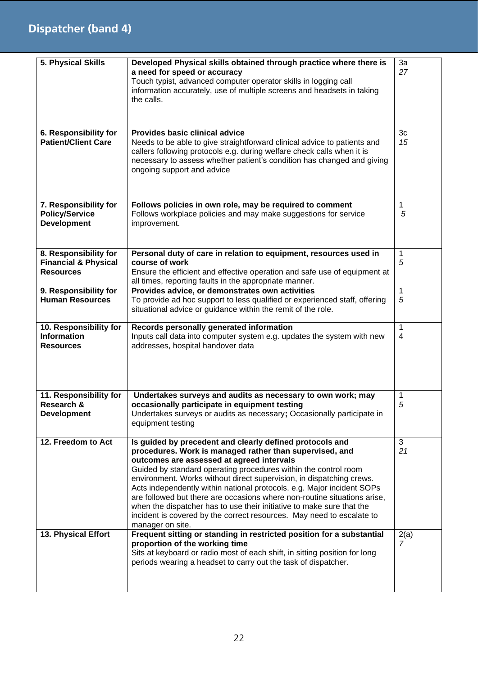| 5. Physical Skills                                                           | Developed Physical skills obtained through practice where there is<br>a need for speed or accuracy<br>Touch typist, advanced computer operator skills in logging call<br>information accurately, use of multiple screens and headsets in taking<br>the calls.                                                                                                                                                                                                                                                                                                                                                                           | 3a<br>27                       |
|------------------------------------------------------------------------------|-----------------------------------------------------------------------------------------------------------------------------------------------------------------------------------------------------------------------------------------------------------------------------------------------------------------------------------------------------------------------------------------------------------------------------------------------------------------------------------------------------------------------------------------------------------------------------------------------------------------------------------------|--------------------------------|
| 6. Responsibility for<br><b>Patient/Client Care</b>                          | Provides basic clinical advice<br>Needs to be able to give straightforward clinical advice to patients and<br>callers following protocols e.g. during welfare check calls when it is<br>necessary to assess whether patient's condition has changed and giving<br>ongoing support and advice                                                                                                                                                                                                                                                                                                                                            | 3c<br>15                       |
| 7. Responsibility for<br><b>Policy/Service</b><br><b>Development</b>         | Follows policies in own role, may be required to comment<br>Follows workplace policies and may make suggestions for service<br>improvement.                                                                                                                                                                                                                                                                                                                                                                                                                                                                                             | 1<br>5                         |
| 8. Responsibility for<br><b>Financial &amp; Physical</b><br><b>Resources</b> | Personal duty of care in relation to equipment, resources used in<br>course of work<br>Ensure the efficient and effective operation and safe use of equipment at<br>all times, reporting faults in the appropriate manner.                                                                                                                                                                                                                                                                                                                                                                                                              | 1<br>5                         |
| 9. Responsibility for<br><b>Human Resources</b>                              | Provides advice, or demonstrates own activities<br>To provide ad hoc support to less qualified or experienced staff, offering<br>situational advice or guidance within the remit of the role.                                                                                                                                                                                                                                                                                                                                                                                                                                           | 1<br>5                         |
| 10. Responsibility for<br><b>Information</b><br><b>Resources</b>             | Records personally generated information<br>Inputs call data into computer system e.g. updates the system with new<br>addresses, hospital handover data                                                                                                                                                                                                                                                                                                                                                                                                                                                                                 | $\mathbf{1}$<br>$\overline{4}$ |
| 11. Responsibility for<br>Research &<br><b>Development</b>                   | Undertakes surveys and audits as necessary to own work; may<br>occasionally participate in equipment testing<br>Undertakes surveys or audits as necessary; Occasionally participate in<br>equipment testing                                                                                                                                                                                                                                                                                                                                                                                                                             | 1<br>5                         |
| 12. Freedom to Act                                                           | Is guided by precedent and clearly defined protocols and<br>procedures. Work is managed rather than supervised, and<br>outcomes are assessed at agreed intervals<br>Guided by standard operating procedures within the control room<br>environment. Works without direct supervision, in dispatching crews.<br>Acts independently within national protocols. e.g. Major incident SOPs<br>are followed but there are occasions where non-routine situations arise,<br>when the dispatcher has to use their initiative to make sure that the<br>incident is covered by the correct resources. May need to escalate to<br>manager on site. | 3<br>21                        |
| 13. Physical Effort                                                          | Frequent sitting or standing in restricted position for a substantial<br>proportion of the working time<br>Sits at keyboard or radio most of each shift, in sitting position for long<br>periods wearing a headset to carry out the task of dispatcher.                                                                                                                                                                                                                                                                                                                                                                                 | 2(a)<br>7                      |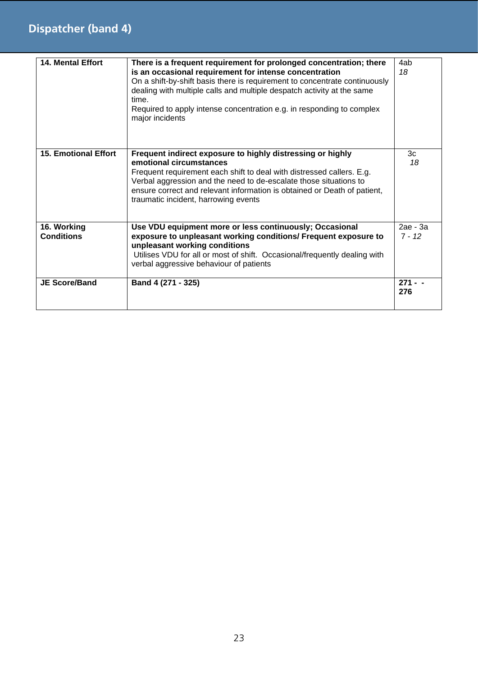### **Dispatcher (band 4)**

| <b>14. Mental Effort</b>         | There is a frequent requirement for prolonged concentration; there<br>is an occasional requirement for intense concentration<br>On a shift-by-shift basis there is requirement to concentrate continuously<br>dealing with multiple calls and multiple despatch activity at the same<br>time.<br>Required to apply intense concentration e.g. in responding to complex<br>major incidents | 4ab<br>18            |
|----------------------------------|-------------------------------------------------------------------------------------------------------------------------------------------------------------------------------------------------------------------------------------------------------------------------------------------------------------------------------------------------------------------------------------------|----------------------|
| <b>15. Emotional Effort</b>      | Frequent indirect exposure to highly distressing or highly<br>emotional circumstances<br>Frequent requirement each shift to deal with distressed callers. E.g.<br>Verbal aggression and the need to de-escalate those situations to<br>ensure correct and relevant information is obtained or Death of patient,<br>traumatic incident, harrowing events                                   | 3c<br>18             |
| 16. Working<br><b>Conditions</b> | Use VDU equipment more or less continuously; Occasional<br>exposure to unpleasant working conditions/ Frequent exposure to<br>unpleasant working conditions<br>Utilises VDU for all or most of shift. Occasional/frequently dealing with<br>verbal aggressive behaviour of patients                                                                                                       | 2ае - За<br>$7 - 12$ |
| <b>JE Score/Band</b>             | Band 4 (271 - 325)                                                                                                                                                                                                                                                                                                                                                                        | $271 - -$<br>276     |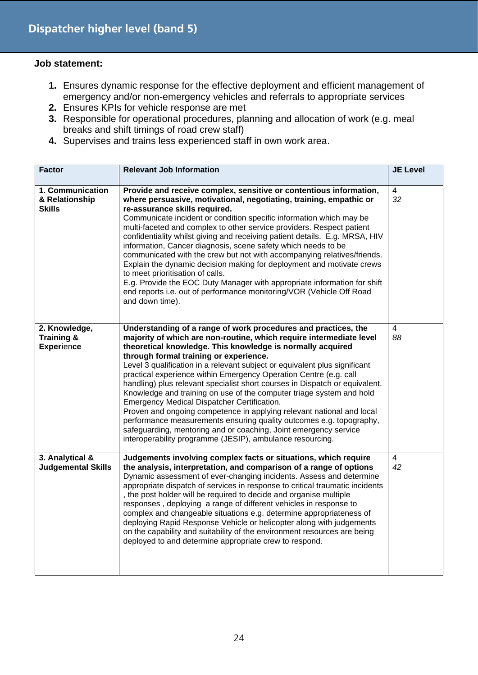- **1.** Ensures dynamic response for the effective deployment and efficient management of emergency and/or non-emergency vehicles and referrals to appropriate services
- **2.** Ensures KPIs for vehicle response are met
- **3.** Responsible for operational procedures, planning and allocation of work (e.g. meal breaks and shift timings of road crew staff)
- **4.** Supervises and trains less experienced staff in own work area.

| <b>Factor</b>                                       | <b>Relevant Job Information</b>                                                                                                                                                                                                                                                                                                                                                                                                                                                                                                                                                                                                                                                                                                                                                                                                                                                         | <b>JE Level</b>      |
|-----------------------------------------------------|-----------------------------------------------------------------------------------------------------------------------------------------------------------------------------------------------------------------------------------------------------------------------------------------------------------------------------------------------------------------------------------------------------------------------------------------------------------------------------------------------------------------------------------------------------------------------------------------------------------------------------------------------------------------------------------------------------------------------------------------------------------------------------------------------------------------------------------------------------------------------------------------|----------------------|
| 1. Communication<br>& Relationship<br><b>Skills</b> | Provide and receive complex, sensitive or contentious information,<br>where persuasive, motivational, negotiating, training, empathic or<br>re-assurance skills required.<br>Communicate incident or condition specific information which may be<br>multi-faceted and complex to other service providers. Respect patient<br>confidentiality whilst giving and receiving patient details. E.g. MRSA, HIV<br>information, Cancer diagnosis, scene safety which needs to be<br>communicated with the crew but not with accompanying relatives/friends.<br>Explain the dynamic decision making for deployment and motivate crews<br>to meet prioritisation of calls.<br>E.g. Provide the EOC Duty Manager with appropriate information for shift<br>end reports i.e. out of performance monitoring/VOR (Vehicle Off Road<br>and down time).                                                | $\overline{4}$<br>32 |
| 2. Knowledge,<br>Training &<br>Experience           | Understanding of a range of work procedures and practices, the<br>majority of which are non-routine, which require intermediate level<br>theoretical knowledge. This knowledge is normally acquired<br>through formal training or experience.<br>Level 3 qualification in a relevant subject or equivalent plus significant<br>practical experience within Emergency Operation Centre (e.g. call<br>handling) plus relevant specialist short courses in Dispatch or equivalent.<br>Knowledge and training on use of the computer triage system and hold<br>Emergency Medical Dispatcher Certification.<br>Proven and ongoing competence in applying relevant national and local<br>performance measurements ensuring quality outcomes e.g. topography,<br>safeguarding, mentoring and or coaching, Joint emergency service<br>interoperability programme (JESIP), ambulance resourcing. | 4<br>88              |
| 3. Analytical &<br><b>Judgemental Skills</b>        | Judgements involving complex facts or situations, which require<br>the analysis, interpretation, and comparison of a range of options<br>Dynamic assessment of ever-changing incidents. Assess and determine<br>appropriate dispatch of services in response to critical traumatic incidents<br>, the post holder will be required to decide and organise multiple<br>responses, deploying a range of different vehicles in response to<br>complex and changeable situations e.g. determine appropriateness of<br>deploying Rapid Response Vehicle or helicopter along with judgements<br>on the capability and suitability of the environment resources are being<br>deployed to and determine appropriate crew to respond.                                                                                                                                                            | $\overline{4}$<br>42 |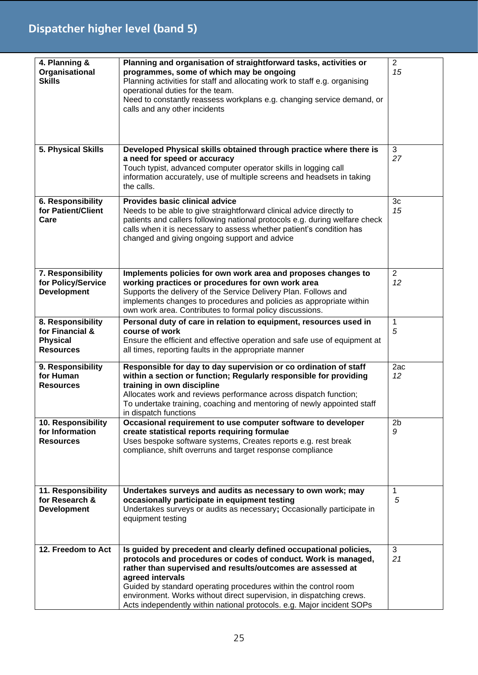# **Dispatcher higher level (band 5)**

| 4. Planning &<br>Organisational<br><b>Skills</b>                            | Planning and organisation of straightforward tasks, activities or<br>programmes, some of which may be ongoing<br>Planning activities for staff and allocating work to staff e.g. organising<br>operational duties for the team.<br>Need to constantly reassess workplans e.g. changing service demand, or<br>calls and any other incidents                                                                                                  | $\overline{2}$<br>15   |
|-----------------------------------------------------------------------------|---------------------------------------------------------------------------------------------------------------------------------------------------------------------------------------------------------------------------------------------------------------------------------------------------------------------------------------------------------------------------------------------------------------------------------------------|------------------------|
| 5. Physical Skills                                                          | Developed Physical skills obtained through practice where there is<br>a need for speed or accuracy<br>Touch typist, advanced computer operator skills in logging call<br>information accurately, use of multiple screens and headsets in taking<br>the calls.                                                                                                                                                                               | 3<br>27                |
| 6. Responsibility<br>for Patient/Client<br>Care                             | Provides basic clinical advice<br>Needs to be able to give straightforward clinical advice directly to<br>patients and callers following national protocols e.g. during welfare check<br>calls when it is necessary to assess whether patient's condition has<br>changed and giving ongoing support and advice                                                                                                                              | 3 <sub>c</sub><br>15   |
| 7. Responsibility<br>for Policy/Service<br><b>Development</b>               | Implements policies for own work area and proposes changes to<br>working practices or procedures for own work area<br>Supports the delivery of the Service Delivery Plan. Follows and<br>implements changes to procedures and policies as appropriate within<br>own work area. Contributes to formal policy discussions.                                                                                                                    | $\overline{2}$<br>12   |
| 8. Responsibility<br>for Financial &<br><b>Physical</b><br><b>Resources</b> | Personal duty of care in relation to equipment, resources used in<br>course of work<br>Ensure the efficient and effective operation and safe use of equipment at<br>all times, reporting faults in the appropriate manner                                                                                                                                                                                                                   | $\mathbf{1}$<br>5      |
| 9. Responsibility<br>for Human<br><b>Resources</b>                          | Responsible for day to day supervision or co ordination of staff<br>within a section or function; Regularly responsible for providing<br>training in own discipline<br>Allocates work and reviews performance across dispatch function;<br>To undertake training, coaching and mentoring of newly appointed staff<br>in dispatch functions                                                                                                  | 2ac<br>12 <sup>2</sup> |
| 10. Responsibility<br>for Information<br><b>Resources</b>                   | Occasional requirement to use computer software to developer<br>create statistical reports requiring formulae<br>Uses bespoke software systems, Creates reports e.g. rest break<br>compliance, shift overruns and target response compliance                                                                                                                                                                                                | 2 <sub>b</sub><br>9    |
| 11. Responsibility<br>for Research &<br><b>Development</b>                  | Undertakes surveys and audits as necessary to own work; may<br>occasionally participate in equipment testing<br>Undertakes surveys or audits as necessary; Occasionally participate in<br>equipment testing                                                                                                                                                                                                                                 | $\mathbf 1$<br>5       |
| 12. Freedom to Act                                                          | Is guided by precedent and clearly defined occupational policies,<br>protocols and procedures or codes of conduct. Work is managed,<br>rather than supervised and results/outcomes are assessed at<br>agreed intervals<br>Guided by standard operating procedures within the control room<br>environment. Works without direct supervision, in dispatching crews.<br>Acts independently within national protocols. e.g. Major incident SOPs | 3<br>21                |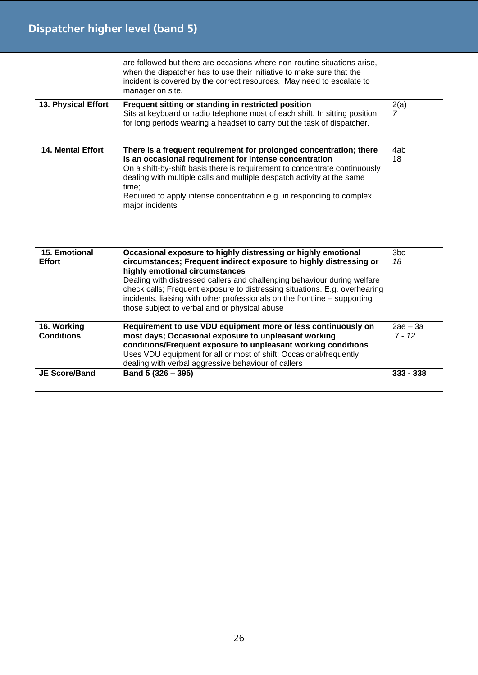# **Dispatcher higher level (band 5)**

|                                  | are followed but there are occasions where non-routine situations arise,<br>when the dispatcher has to use their initiative to make sure that the<br>incident is covered by the correct resources. May need to escalate to<br>manager on site.                                                                                                                                                |                        |
|----------------------------------|-----------------------------------------------------------------------------------------------------------------------------------------------------------------------------------------------------------------------------------------------------------------------------------------------------------------------------------------------------------------------------------------------|------------------------|
| 13. Physical Effort              | Frequent sitting or standing in restricted position<br>Sits at keyboard or radio telephone most of each shift. In sitting position<br>for long periods wearing a headset to carry out the task of dispatcher.                                                                                                                                                                                 | 2(a)<br>7              |
| 14. Mental Effort                | There is a frequent requirement for prolonged concentration; there<br>is an occasional requirement for intense concentration<br>On a shift-by-shift basis there is requirement to concentrate continuously<br>dealing with multiple calls and multiple despatch activity at the same<br>time;<br>Required to apply intense concentration e.g. in responding to complex<br>major incidents     | 4ab<br>18              |
| <b>15. Emotional</b>             | Occasional exposure to highly distressing or highly emotional                                                                                                                                                                                                                                                                                                                                 | 3 <sub>bc</sub>        |
| <b>Effort</b>                    | circumstances; Frequent indirect exposure to highly distressing or<br>highly emotional circumstances<br>Dealing with distressed callers and challenging behaviour during welfare<br>check calls; Frequent exposure to distressing situations. E.g. overhearing<br>incidents, liaising with other professionals on the frontline - supporting<br>those subject to verbal and or physical abuse | 18                     |
| 16. Working<br><b>Conditions</b> | Requirement to use VDU equipment more or less continuously on<br>most days; Occasional exposure to unpleasant working<br>conditions/Frequent exposure to unpleasant working conditions<br>Uses VDU equipment for all or most of shift; Occasional/frequently<br>dealing with verbal aggressive behaviour of callers                                                                           | $2ae - 3a$<br>$7 - 12$ |
| <b>JE Score/Band</b>             | Band 5 (326 - 395)                                                                                                                                                                                                                                                                                                                                                                            | $333 - 338$            |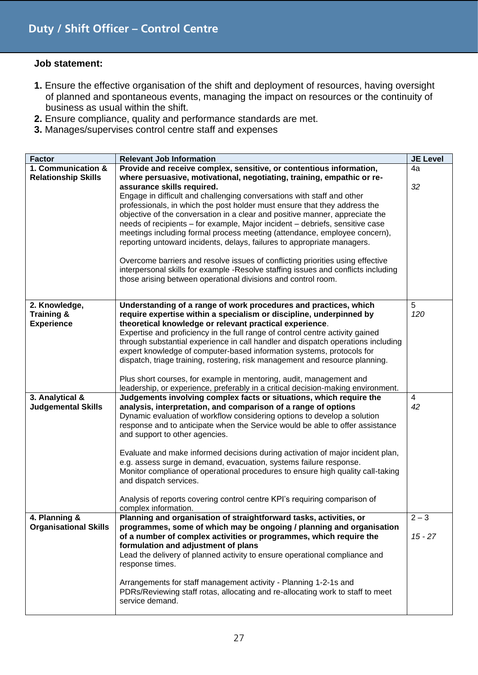- **1.** Ensure the effective organisation of the shift and deployment of resources, having oversight of planned and spontaneous events, managing the impact on resources or the continuity of business as usual within the shift.
- **2.** Ensure compliance, quality and performance standards are met.
- **3.** Manages/supervises control centre staff and expenses

| <b>Factor</b>                | <b>Relevant Job Information</b>                                                                                                                                   | <b>JE Level</b> |
|------------------------------|-------------------------------------------------------------------------------------------------------------------------------------------------------------------|-----------------|
| 1. Communication &           | Provide and receive complex, sensitive, or contentious information,                                                                                               | 4a              |
| <b>Relationship Skills</b>   | where persuasive, motivational, negotiating, training, empathic or re-                                                                                            |                 |
|                              | assurance skills required.                                                                                                                                        | 32              |
|                              | Engage in difficult and challenging conversations with staff and other<br>professionals, in which the post holder must ensure that they address the               |                 |
|                              | objective of the conversation in a clear and positive manner, appreciate the                                                                                      |                 |
|                              | needs of recipients - for example, Major incident - debriefs, sensitive case                                                                                      |                 |
|                              | meetings including formal process meeting (attendance, employee concern),                                                                                         |                 |
|                              | reporting untoward incidents, delays, failures to appropriate managers.                                                                                           |                 |
|                              |                                                                                                                                                                   |                 |
|                              | Overcome barriers and resolve issues of conflicting priorities using effective                                                                                    |                 |
|                              | interpersonal skills for example -Resolve staffing issues and conflicts including                                                                                 |                 |
|                              | those arising between operational divisions and control room.                                                                                                     |                 |
|                              |                                                                                                                                                                   |                 |
| 2. Knowledge,                | Understanding of a range of work procedures and practices, which                                                                                                  | 5               |
| <b>Training &amp;</b>        | require expertise within a specialism or discipline, underpinned by                                                                                               | 120             |
| <b>Experience</b>            | theoretical knowledge or relevant practical experience.                                                                                                           |                 |
|                              | Expertise and proficiency in the full range of control centre activity gained<br>through substantial experience in call handler and dispatch operations including |                 |
|                              | expert knowledge of computer-based information systems, protocols for                                                                                             |                 |
|                              | dispatch, triage training, rostering, risk management and resource planning.                                                                                      |                 |
|                              |                                                                                                                                                                   |                 |
|                              | Plus short courses, for example in mentoring, audit, management and                                                                                               |                 |
|                              | leadership, or experience, preferably in a critical decision-making environment.                                                                                  |                 |
| 3. Analytical &              | Judgements involving complex facts or situations, which require the                                                                                               | 4               |
| <b>Judgemental Skills</b>    | analysis, interpretation, and comparison of a range of options                                                                                                    | 42              |
|                              | Dynamic evaluation of workflow considering options to develop a solution<br>response and to anticipate when the Service would be able to offer assistance         |                 |
|                              | and support to other agencies.                                                                                                                                    |                 |
|                              |                                                                                                                                                                   |                 |
|                              | Evaluate and make informed decisions during activation of major incident plan,                                                                                    |                 |
|                              | e.g. assess surge in demand, evacuation, systems failure response.                                                                                                |                 |
|                              | Monitor compliance of operational procedures to ensure high quality call-taking                                                                                   |                 |
|                              | and dispatch services.                                                                                                                                            |                 |
|                              | Analysis of reports covering control centre KPI's requiring comparison of                                                                                         |                 |
|                              | complex information.                                                                                                                                              |                 |
| 4. Planning &                | Planning and organisation of straightforward tasks, activities, or                                                                                                | $2 - 3$         |
| <b>Organisational Skills</b> | programmes, some of which may be ongoing / planning and organisation                                                                                              |                 |
|                              | of a number of complex activities or programmes, which require the                                                                                                | $15 - 27$       |
|                              | formulation and adjustment of plans<br>Lead the delivery of planned activity to ensure operational compliance and                                                 |                 |
|                              | response times.                                                                                                                                                   |                 |
|                              |                                                                                                                                                                   |                 |
|                              | Arrangements for staff management activity - Planning 1-2-1s and                                                                                                  |                 |
|                              | PDRs/Reviewing staff rotas, allocating and re-allocating work to staff to meet                                                                                    |                 |
|                              | service demand.                                                                                                                                                   |                 |
|                              |                                                                                                                                                                   |                 |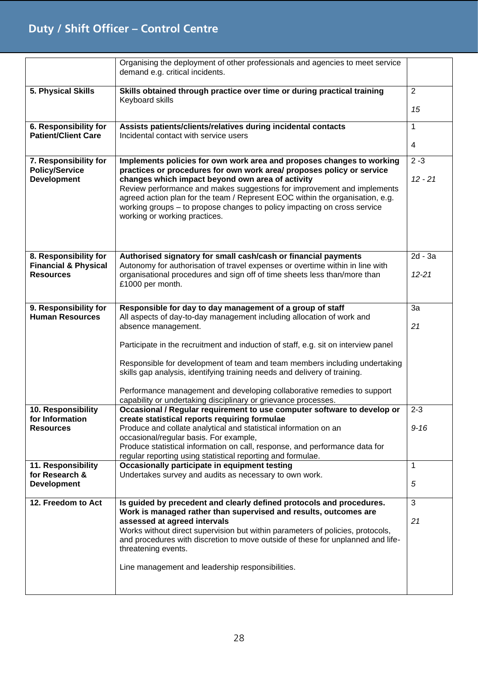## **Duty / Shift Officer – Control Centre**

|                                                                      | Organising the deployment of other professionals and agencies to meet service<br>demand e.g. critical incidents.                                                                                                                                                                                                                                                                                                                                                            |                      |
|----------------------------------------------------------------------|-----------------------------------------------------------------------------------------------------------------------------------------------------------------------------------------------------------------------------------------------------------------------------------------------------------------------------------------------------------------------------------------------------------------------------------------------------------------------------|----------------------|
| 5. Physical Skills                                                   | Skills obtained through practice over time or during practical training<br>Keyboard skills                                                                                                                                                                                                                                                                                                                                                                                  | $\overline{2}$       |
|                                                                      |                                                                                                                                                                                                                                                                                                                                                                                                                                                                             | 15                   |
| 6. Responsibility for<br><b>Patient/Client Care</b>                  | Assists patients/clients/relatives during incidental contacts<br>Incidental contact with service users                                                                                                                                                                                                                                                                                                                                                                      | $\mathbf{1}$         |
|                                                                      |                                                                                                                                                                                                                                                                                                                                                                                                                                                                             | 4                    |
| 7. Responsibility for<br><b>Policy/Service</b><br><b>Development</b> | Implements policies for own work area and proposes changes to working<br>practices or procedures for own work area/ proposes policy or service<br>changes which impact beyond own area of activity<br>Review performance and makes suggestions for improvement and implements<br>agreed action plan for the team / Represent EOC within the organisation, e.g.<br>working groups – to propose changes to policy impacting on cross service<br>working or working practices. | $2 - 3$<br>$12 - 21$ |
| 8. Responsibility for                                                | Authorised signatory for small cash/cash or financial payments                                                                                                                                                                                                                                                                                                                                                                                                              | $2d - 3a$            |
| <b>Financial &amp; Physical</b><br><b>Resources</b>                  | Autonomy for authorisation of travel expenses or overtime within in line with<br>organisational procedures and sign off of time sheets less than/more than<br>£1000 per month.                                                                                                                                                                                                                                                                                              | $12 - 21$            |
| 9. Responsibility for                                                | Responsible for day to day management of a group of staff                                                                                                                                                                                                                                                                                                                                                                                                                   | 3a                   |
| <b>Human Resources</b>                                               | All aspects of day-to-day management including allocation of work and<br>absence management.                                                                                                                                                                                                                                                                                                                                                                                | 21                   |
|                                                                      | Participate in the recruitment and induction of staff, e.g. sit on interview panel                                                                                                                                                                                                                                                                                                                                                                                          |                      |
|                                                                      |                                                                                                                                                                                                                                                                                                                                                                                                                                                                             |                      |
|                                                                      | Responsible for development of team and team members including undertaking<br>skills gap analysis, identifying training needs and delivery of training.                                                                                                                                                                                                                                                                                                                     |                      |
|                                                                      | Performance management and developing collaborative remedies to support<br>capability or undertaking disciplinary or grievance processes.                                                                                                                                                                                                                                                                                                                                   |                      |
| 10. Responsibility<br>for Information                                | Occasional / Regular requirement to use computer software to develop or<br>create statistical reports requiring formulae                                                                                                                                                                                                                                                                                                                                                    | $2 - 3$              |
| <b>Resources</b>                                                     | Produce and collate analytical and statistical information on an                                                                                                                                                                                                                                                                                                                                                                                                            | $9 - 16$             |
|                                                                      | occasional/regular basis. For example,<br>Produce statistical information on call, response, and performance data for                                                                                                                                                                                                                                                                                                                                                       |                      |
| 11. Responsibility                                                   | regular reporting using statistical reporting and formulae.<br>Occasionally participate in equipment testing                                                                                                                                                                                                                                                                                                                                                                | $\mathbf{1}$         |
| for Research &                                                       | Undertakes survey and audits as necessary to own work.                                                                                                                                                                                                                                                                                                                                                                                                                      |                      |
| <b>Development</b>                                                   |                                                                                                                                                                                                                                                                                                                                                                                                                                                                             | 5                    |
| 12. Freedom to Act                                                   | Is guided by precedent and clearly defined protocols and procedures.                                                                                                                                                                                                                                                                                                                                                                                                        | 3                    |
|                                                                      | Work is managed rather than supervised and results, outcomes are<br>assessed at agreed intervals                                                                                                                                                                                                                                                                                                                                                                            | 21                   |
|                                                                      | Works without direct supervision but within parameters of policies, protocols,<br>and procedures with discretion to move outside of these for unplanned and life-                                                                                                                                                                                                                                                                                                           |                      |
|                                                                      | threatening events.                                                                                                                                                                                                                                                                                                                                                                                                                                                         |                      |
|                                                                      | Line management and leadership responsibilities.                                                                                                                                                                                                                                                                                                                                                                                                                            |                      |
|                                                                      |                                                                                                                                                                                                                                                                                                                                                                                                                                                                             |                      |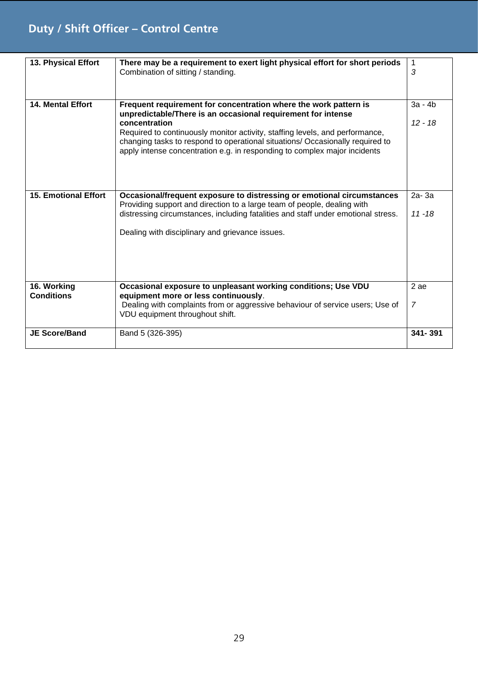## **Duty / Shift Officer – Control Centre**

| 13. Physical Effort              | There may be a requirement to exert light physical effort for short periods<br>Combination of sitting / standing.                                                                                                                                                                                                                                                                               | 1<br>3                 |
|----------------------------------|-------------------------------------------------------------------------------------------------------------------------------------------------------------------------------------------------------------------------------------------------------------------------------------------------------------------------------------------------------------------------------------------------|------------------------|
| 14. Mental Effort                | Frequent requirement for concentration where the work pattern is<br>unpredictable/There is an occasional requirement for intense<br>concentration<br>Required to continuously monitor activity, staffing levels, and performance,<br>changing tasks to respond to operational situations/ Occasionally required to<br>apply intense concentration e.g. in responding to complex major incidents | $3a - 4b$<br>$12 - 18$ |
| <b>15. Emotional Effort</b>      | Occasional/frequent exposure to distressing or emotional circumstances<br>Providing support and direction to a large team of people, dealing with<br>distressing circumstances, including fatalities and staff under emotional stress.<br>Dealing with disciplinary and grievance issues.                                                                                                       | $2a-3a$<br>$11 - 18$   |
| 16. Working<br><b>Conditions</b> | Occasional exposure to unpleasant working conditions; Use VDU<br>equipment more or less continuously.<br>Dealing with complaints from or aggressive behaviour of service users; Use of<br>VDU equipment throughout shift.                                                                                                                                                                       | 2 ae<br>$\overline{7}$ |
| <b>JE Score/Band</b>             | Band 5 (326-395)                                                                                                                                                                                                                                                                                                                                                                                | 341-391                |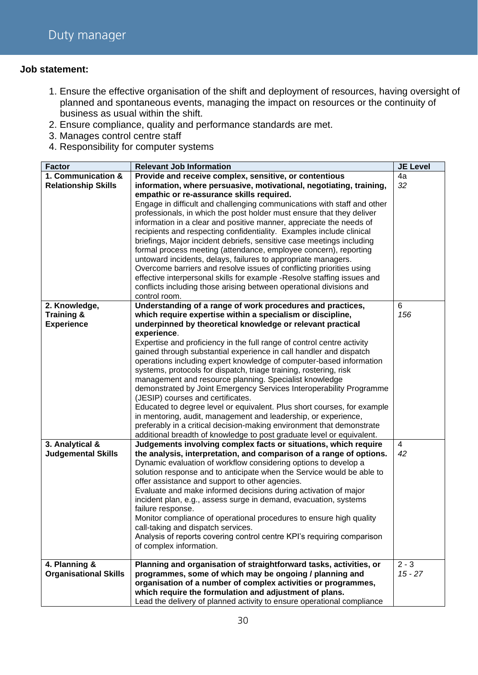- 1. Ensure the effective organisation of the shift and deployment of resources, having oversight of planned and spontaneous events, managing the impact on resources or the continuity of business as usual within the shift.
- 2. Ensure compliance, quality and performance standards are met.
- 3. Manages control centre staff
- 4. Responsibility for computer systems

| <b>Factor</b>                | <b>Relevant Job Information</b>                                                                   | <b>JE Level</b> |
|------------------------------|---------------------------------------------------------------------------------------------------|-----------------|
| 1. Communication &           | Provide and receive complex, sensitive, or contentious                                            | 4a              |
| <b>Relationship Skills</b>   | information, where persuasive, motivational, negotiating, training,                               | 32              |
|                              | empathic or re-assurance skills required.                                                         |                 |
|                              | Engage in difficult and challenging communications with staff and other                           |                 |
|                              | professionals, in which the post holder must ensure that they deliver                             |                 |
|                              | information in a clear and positive manner, appreciate the needs of                               |                 |
|                              | recipients and respecting confidentiality. Examples include clinical                              |                 |
|                              | briefings, Major incident debriefs, sensitive case meetings including                             |                 |
|                              | formal process meeting (attendance, employee concern), reporting                                  |                 |
|                              | untoward incidents, delays, failures to appropriate managers.                                     |                 |
|                              | Overcome barriers and resolve issues of conflicting priorities using                              |                 |
|                              | effective interpersonal skills for example -Resolve staffing issues and                           |                 |
|                              | conflicts including those arising between operational divisions and                               |                 |
|                              | control room.                                                                                     |                 |
| 2. Knowledge,                | Understanding of a range of work procedures and practices,                                        | 6               |
| <b>Training &amp;</b>        | which require expertise within a specialism or discipline,                                        | 156             |
| <b>Experience</b>            | underpinned by theoretical knowledge or relevant practical                                        |                 |
|                              | experience.                                                                                       |                 |
|                              | Expertise and proficiency in the full range of control centre activity                            |                 |
|                              | gained through substantial experience in call handler and dispatch                                |                 |
|                              | operations including expert knowledge of computer-based information                               |                 |
|                              | systems, protocols for dispatch, triage training, rostering, risk                                 |                 |
|                              | management and resource planning. Specialist knowledge                                            |                 |
|                              | demonstrated by Joint Emergency Services Interoperability Programme                               |                 |
|                              | (JESIP) courses and certificates.                                                                 |                 |
|                              | Educated to degree level or equivalent. Plus short courses, for example                           |                 |
|                              | in mentoring, audit, management and leadership, or experience,                                    |                 |
|                              | preferably in a critical decision-making environment that demonstrate                             |                 |
|                              | additional breadth of knowledge to post graduate level or equivalent.                             |                 |
| 3. Analytical &              | Judgements involving complex facts or situations, which require                                   | 4               |
| <b>Judgemental Skills</b>    | the analysis, interpretation, and comparison of a range of options.                               | 42              |
|                              | Dynamic evaluation of workflow considering options to develop a                                   |                 |
|                              | solution response and to anticipate when the Service would be able to                             |                 |
|                              | offer assistance and support to other agencies.                                                   |                 |
|                              | Evaluate and make informed decisions during activation of major                                   |                 |
|                              | incident plan, e.g., assess surge in demand, evacuation, systems                                  |                 |
|                              | failure response.                                                                                 |                 |
|                              | Monitor compliance of operational procedures to ensure high quality                               |                 |
|                              | call-taking and dispatch services.                                                                |                 |
|                              | Analysis of reports covering control centre KPI's requiring comparison<br>of complex information. |                 |
|                              |                                                                                                   |                 |
| 4. Planning &                | Planning and organisation of straightforward tasks, activities, or                                | $2 - 3$         |
| <b>Organisational Skills</b> | programmes, some of which may be ongoing / planning and                                           | $15 - 27$       |
|                              | organisation of a number of complex activities or programmes,                                     |                 |
|                              | which require the formulation and adjustment of plans.                                            |                 |
|                              | Lead the delivery of planned activity to ensure operational compliance                            |                 |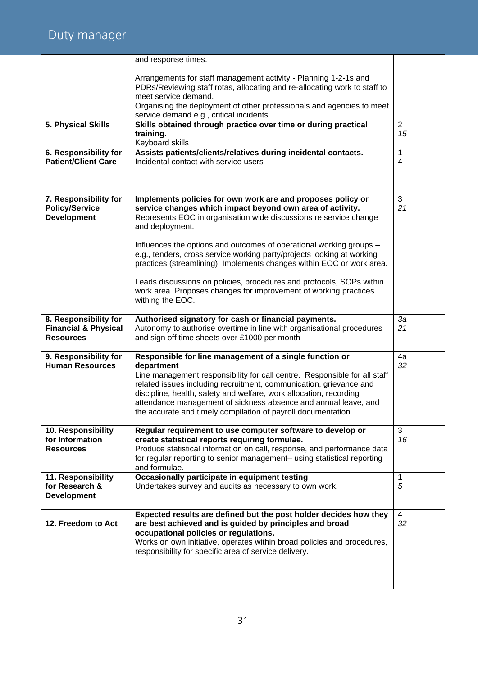# Duty manager

|                                                                              | and response times.                                                                                                                                                                                                                                                                                                                                                                                                                |                      |
|------------------------------------------------------------------------------|------------------------------------------------------------------------------------------------------------------------------------------------------------------------------------------------------------------------------------------------------------------------------------------------------------------------------------------------------------------------------------------------------------------------------------|----------------------|
|                                                                              | Arrangements for staff management activity - Planning 1-2-1s and<br>PDRs/Reviewing staff rotas, allocating and re-allocating work to staff to<br>meet service demand.                                                                                                                                                                                                                                                              |                      |
|                                                                              | Organising the deployment of other professionals and agencies to meet<br>service demand e.g., critical incidents.                                                                                                                                                                                                                                                                                                                  |                      |
| 5. Physical Skills                                                           | Skills obtained through practice over time or during practical<br>training.<br>Keyboard skills                                                                                                                                                                                                                                                                                                                                     | $\overline{2}$<br>15 |
| 6. Responsibility for<br><b>Patient/Client Care</b>                          | Assists patients/clients/relatives during incidental contacts.<br>Incidental contact with service users                                                                                                                                                                                                                                                                                                                            | 1<br>4               |
| 7. Responsibility for<br><b>Policy/Service</b><br><b>Development</b>         | Implements policies for own work are and proposes policy or<br>service changes which impact beyond own area of activity.<br>Represents EOC in organisation wide discussions re service change<br>and deployment.<br>Influences the options and outcomes of operational working groups -<br>e.g., tenders, cross service working party/projects looking at working                                                                  | 3<br>21              |
|                                                                              | practices (streamlining). Implements changes within EOC or work area.<br>Leads discussions on policies, procedures and protocols, SOPs within<br>work area. Proposes changes for improvement of working practices<br>withing the EOC.                                                                                                                                                                                              |                      |
| 8. Responsibility for<br><b>Financial &amp; Physical</b><br><b>Resources</b> | Authorised signatory for cash or financial payments.<br>Autonomy to authorise overtime in line with organisational procedures<br>and sign off time sheets over £1000 per month                                                                                                                                                                                                                                                     | 3a<br>21             |
| 9. Responsibility for<br><b>Human Resources</b>                              | Responsible for line management of a single function or<br>department<br>Line management responsibility for call centre. Responsible for all staff<br>related issues including recruitment, communication, grievance and<br>discipline, health, safety and welfare, work allocation, recording<br>attendance management of sickness absence and annual leave, and<br>the accurate and timely compilation of payroll documentation. | 4a<br>32             |
| 10. Responsibility<br>for Information<br><b>Resources</b>                    | Regular requirement to use computer software to develop or<br>create statistical reports requiring formulae.<br>Produce statistical information on call, response, and performance data<br>for regular reporting to senior management- using statistical reporting<br>and formulae.                                                                                                                                                | 3<br>16              |
| 11. Responsibility<br>for Research &<br><b>Development</b>                   | Occasionally participate in equipment testing<br>Undertakes survey and audits as necessary to own work.                                                                                                                                                                                                                                                                                                                            | 1<br>5               |
| 12. Freedom to Act                                                           | Expected results are defined but the post holder decides how they<br>are best achieved and is guided by principles and broad<br>occupational policies or regulations.<br>Works on own initiative, operates within broad policies and procedures,<br>responsibility for specific area of service delivery.                                                                                                                          | 4<br>32              |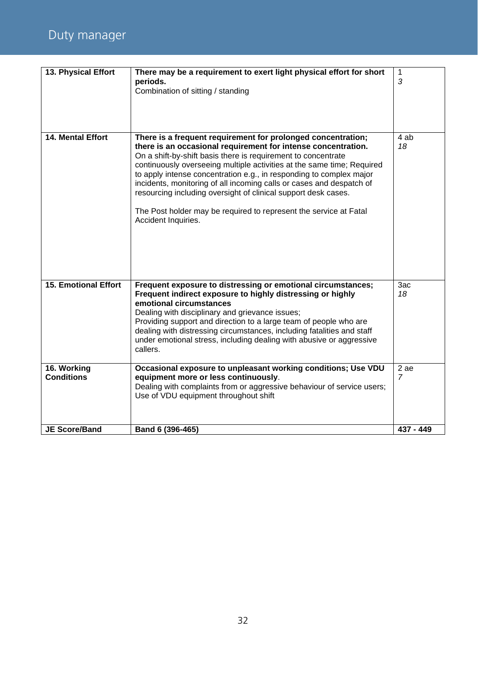| 13. Physical Effort              | There may be a requirement to exert light physical effort for short<br>periods.<br>Combination of sitting / standing                                                                                                                                                                                                                                                                                                                                                                                                                                                                  | 1<br>3                |
|----------------------------------|---------------------------------------------------------------------------------------------------------------------------------------------------------------------------------------------------------------------------------------------------------------------------------------------------------------------------------------------------------------------------------------------------------------------------------------------------------------------------------------------------------------------------------------------------------------------------------------|-----------------------|
| 14. Mental Effort                | There is a frequent requirement for prolonged concentration;<br>there is an occasional requirement for intense concentration.<br>On a shift-by-shift basis there is requirement to concentrate<br>continuously overseeing multiple activities at the same time; Required<br>to apply intense concentration e.g., in responding to complex major<br>incidents, monitoring of all incoming calls or cases and despatch of<br>resourcing including oversight of clinical support desk cases.<br>The Post holder may be required to represent the service at Fatal<br>Accident Inquiries. | 4 ab<br>18            |
| <b>15. Emotional Effort</b>      | Frequent exposure to distressing or emotional circumstances;<br>Frequent indirect exposure to highly distressing or highly<br>emotional circumstances<br>Dealing with disciplinary and grievance issues;<br>Providing support and direction to a large team of people who are<br>dealing with distressing circumstances, including fatalities and staff<br>under emotional stress, including dealing with abusive or aggressive<br>callers.                                                                                                                                           | 3ac<br>18             |
| 16. Working<br><b>Conditions</b> | Occasional exposure to unpleasant working conditions; Use VDU<br>equipment more or less continuously.<br>Dealing with complaints from or aggressive behaviour of service users;<br>Use of VDU equipment throughout shift                                                                                                                                                                                                                                                                                                                                                              | 2ae<br>$\overline{7}$ |
| <b>JE Score/Band</b>             | Band 6 (396-465)                                                                                                                                                                                                                                                                                                                                                                                                                                                                                                                                                                      | 437 - 449             |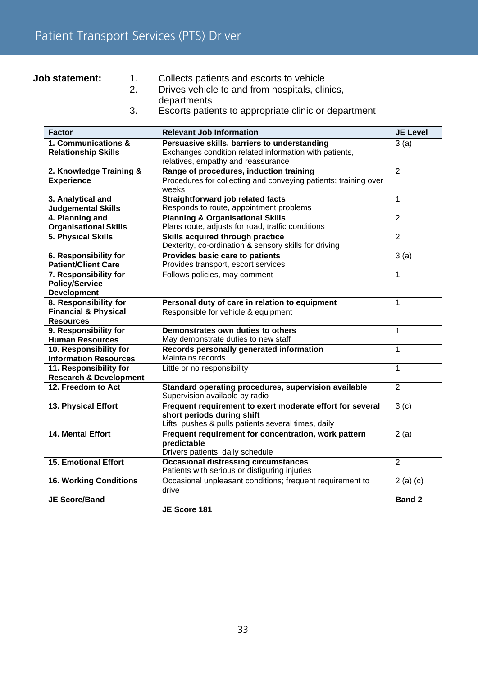**Job statement:** 1. Collects patients and escorts to vehicle

- 2. Drives vehicle to and from hospitals, clinics, departments
- 3. Escorts patients to appropriate clinic or department

| <b>Factor</b>                                                                | <b>Relevant Job Information</b>                                                                                                                | <b>JE Level</b>    |
|------------------------------------------------------------------------------|------------------------------------------------------------------------------------------------------------------------------------------------|--------------------|
| 1. Communications &<br><b>Relationship Skills</b>                            | Persuasive skills, barriers to understanding<br>Exchanges condition related information with patients,<br>relatives, empathy and reassurance   | 3(a)               |
| 2. Knowledge Training &<br><b>Experience</b>                                 | Range of procedures, induction training<br>Procedures for collecting and conveying patients; training over<br>weeks                            | 2                  |
| 3. Analytical and<br><b>Judgemental Skills</b>                               | Straightforward job related facts<br>Responds to route, appointment problems                                                                   | 1                  |
| 4. Planning and<br><b>Organisational Skills</b>                              | <b>Planning &amp; Organisational Skills</b><br>Plans route, adjusts for road, traffic conditions                                               | $\overline{2}$     |
| 5. Physical Skills                                                           | Skills acquired through practice<br>Dexterity, co-ordination & sensory skills for driving                                                      | $\overline{2}$     |
| 6. Responsibility for<br><b>Patient/Client Care</b>                          | Provides basic care to patients<br>Provides transport, escort services                                                                         | 3(a)               |
| 7. Responsibility for<br><b>Policy/Service</b><br><b>Development</b>         | Follows policies, may comment                                                                                                                  | 1                  |
| 8. Responsibility for<br><b>Financial &amp; Physical</b><br><b>Resources</b> | Personal duty of care in relation to equipment<br>Responsible for vehicle & equipment                                                          | $\mathbf{1}$       |
| 9. Responsibility for<br><b>Human Resources</b>                              | Demonstrates own duties to others<br>May demonstrate duties to new staff                                                                       | $\mathbf{1}$       |
| 10. Responsibility for<br><b>Information Resources</b>                       | Records personally generated information<br>Maintains records                                                                                  | 1                  |
| 11. Responsibility for<br><b>Research &amp; Development</b>                  | Little or no responsibility                                                                                                                    | 1                  |
| 12. Freedom to Act                                                           | Standard operating procedures, supervision available<br>Supervision available by radio                                                         | $\overline{2}$     |
| 13. Physical Effort                                                          | Frequent requirement to exert moderate effort for several<br>short periods during shift<br>Lifts, pushes & pulls patients several times, daily | $\overline{3}$ (c) |
| 14. Mental Effort                                                            | Frequent requirement for concentration, work pattern<br>predictable<br>Drivers patients, daily schedule                                        | 2(a)               |
| <b>15. Emotional Effort</b>                                                  | <b>Occasional distressing circumstances</b><br>Patients with serious or disfiguring injuries                                                   | $\overline{2}$     |
| <b>16. Working Conditions</b>                                                | Occasional unpleasant conditions; frequent requirement to<br>drive                                                                             | 2(a)(c)            |
| <b>JE Score/Band</b>                                                         | JE Score 181                                                                                                                                   | <b>Band 2</b>      |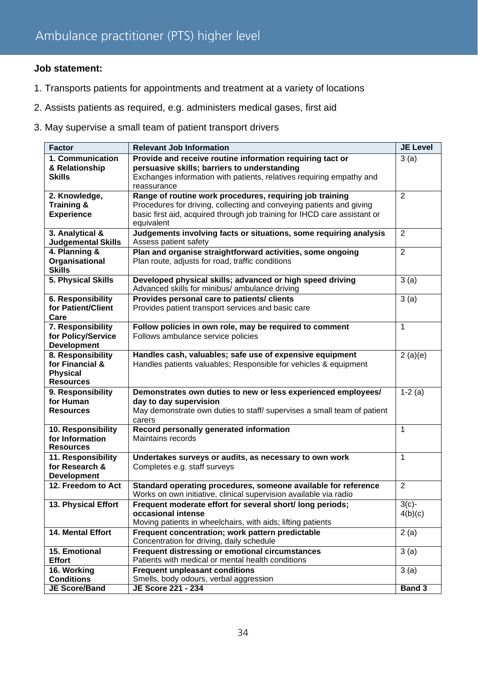- 1. Transports patients for appointments and treatment at a variety of locations
- 2. Assists patients as required, e.g. administers medical gases, first aid
- 3. May supervise a small team of patient transport drivers

| <b>Factor</b>                           | <b>Relevant Job Information</b>                                                                      | <b>JE Level</b> |
|-----------------------------------------|------------------------------------------------------------------------------------------------------|-----------------|
| 1. Communication                        | Provide and receive routine information requiring tact or                                            | 3(a)            |
| & Relationship                          | persuasive skills; barriers to understanding                                                         |                 |
| <b>Skills</b>                           | Exchanges information with patients, relatives requiring empathy and                                 |                 |
|                                         | reassurance                                                                                          |                 |
| 2. Knowledge,                           | Range of routine work procedures, requiring job training                                             | $\overline{2}$  |
| Training &                              | Procedures for driving, collecting and conveying patients and giving                                 |                 |
| <b>Experience</b>                       | basic first aid, acquired through job training for IHCD care assistant or<br>equivalent              |                 |
| 3. Analytical &                         | Judgements involving facts or situations, some requiring analysis                                    | $\overline{2}$  |
| <b>Judgemental Skills</b>               | Assess patient safety                                                                                |                 |
| 4. Planning &                           | Plan and organise straightforward activities, some ongoing                                           | $\overline{2}$  |
| Organisational                          | Plan route, adjusts for road, traffic conditions                                                     |                 |
| <b>Skills</b>                           |                                                                                                      |                 |
| 5. Physical Skills                      | Developed physical skills; advanced or high speed driving                                            | 3(a)            |
|                                         | Advanced skills for minibus/ ambulance driving                                                       |                 |
| 6. Responsibility                       | Provides personal care to patients/ clients                                                          | 3(a)            |
| for Patient/Client                      | Provides patient transport services and basic care                                                   |                 |
| Care                                    |                                                                                                      |                 |
| 7. Responsibility                       | Follow policies in own role, may be required to comment                                              | 1               |
| for Policy/Service                      | Follows ambulance service policies                                                                   |                 |
| <b>Development</b><br>8. Responsibility | Handles cash, valuables; safe use of expensive equipment                                             |                 |
| for Financial &                         | Handles patients valuables; Responsible for vehicles & equipment                                     | 2(a)(e)         |
| <b>Physical</b>                         |                                                                                                      |                 |
| <b>Resources</b>                        |                                                                                                      |                 |
| 9. Responsibility                       | Demonstrates own duties to new or less experienced employees/                                        | $1-2(a)$        |
| for Human                               | day to day supervision                                                                               |                 |
| <b>Resources</b>                        | May demonstrate own duties to staff/ supervises a small team of patient                              |                 |
|                                         | carers                                                                                               |                 |
| 10. Responsibility                      | Record personally generated information                                                              | 1               |
| for Information                         | Maintains records                                                                                    |                 |
| <b>Resources</b>                        |                                                                                                      | 1               |
| 11. Responsibility<br>for Research &    | Undertakes surveys or audits, as necessary to own work<br>Completes e.g. staff surveys               |                 |
| <b>Development</b>                      |                                                                                                      |                 |
| 12. Freedom to Act                      | Standard operating procedures, someone available for reference                                       | 2               |
|                                         | Works on own initiative, clinical supervision available via radio                                    |                 |
| 13. Physical Effort                     | Frequent moderate effort for several short/long periods;                                             | $3(c)$ -        |
|                                         | occasional intense                                                                                   | 4(b)(c)         |
|                                         | Moving patients in wheelchairs, with aids; lifting patients                                          |                 |
| 14. Mental Effort                       | Frequent concentration; work pattern predictable                                                     | 2(a)            |
|                                         | Concentration for driving, daily schedule                                                            |                 |
| 15. Emotional<br><b>Effort</b>          | Frequent distressing or emotional circumstances<br>Patients with medical or mental health conditions | 3(a)            |
| 16. Working                             | <b>Frequent unpleasant conditions</b>                                                                | 3(a)            |
| <b>Conditions</b>                       | Smells, body odours, verbal aggression                                                               |                 |
| <b>JE Score/Band</b>                    | JE Score 221 - 234                                                                                   | <b>Band 3</b>   |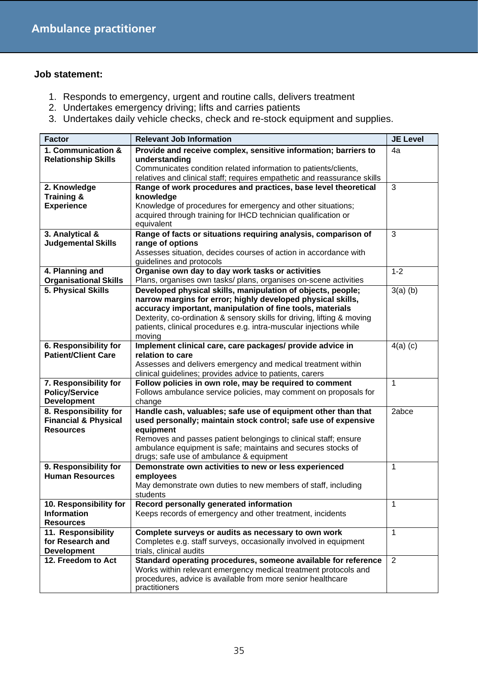- 1. Responds to emergency, urgent and routine calls, delivers treatment
- 2. Undertakes emergency driving; lifts and carries patients
- 3. Undertakes daily vehicle checks, check and re-stock equipment and supplies.

| <b>Factor</b>                            | <b>Relevant Job Information</b>                                                                                                   | <b>JE Level</b> |
|------------------------------------------|-----------------------------------------------------------------------------------------------------------------------------------|-----------------|
| 1. Communication &                       | Provide and receive complex, sensitive information; barriers to                                                                   | 4a              |
| <b>Relationship Skills</b>               | understanding                                                                                                                     |                 |
|                                          | Communicates condition related information to patients/clients,                                                                   |                 |
|                                          | relatives and clinical staff; requires empathetic and reassurance skills                                                          |                 |
| 2. Knowledge                             | Range of work procedures and practices, base level theoretical                                                                    | 3               |
| Training &                               | knowledge                                                                                                                         |                 |
| <b>Experience</b>                        | Knowledge of procedures for emergency and other situations;<br>acquired through training for IHCD technician qualification or     |                 |
|                                          | equivalent                                                                                                                        |                 |
| 3. Analytical &                          | Range of facts or situations requiring analysis, comparison of                                                                    | 3               |
| <b>Judgemental Skills</b>                | range of options                                                                                                                  |                 |
|                                          | Assesses situation, decides courses of action in accordance with                                                                  |                 |
|                                          | guidelines and protocols                                                                                                          |                 |
| 4. Planning and                          | Organise own day to day work tasks or activities                                                                                  | $1 - 2$         |
| <b>Organisational Skills</b>             | Plans, organises own tasks/ plans, organises on-scene activities                                                                  |                 |
| 5. Physical Skills                       | Developed physical skills, manipulation of objects, people;                                                                       | $3(a)$ (b)      |
|                                          | narrow margins for error; highly developed physical skills,<br>accuracy important, manipulation of fine tools, materials          |                 |
|                                          | Dexterity, co-ordination & sensory skills for driving, lifting & moving                                                           |                 |
|                                          | patients, clinical procedures e.g. intra-muscular injections while                                                                |                 |
|                                          | moving                                                                                                                            |                 |
| 6. Responsibility for                    | Implement clinical care, care packages/ provide advice in                                                                         | $4(a)$ (c)      |
| <b>Patient/Client Care</b>               | relation to care                                                                                                                  |                 |
|                                          | Assesses and delivers emergency and medical treatment within                                                                      |                 |
|                                          | clinical guidelines; provides advice to patients, carers                                                                          |                 |
| 7. Responsibility for                    | Follow policies in own role, may be required to comment                                                                           | 1               |
| <b>Policy/Service</b>                    | Follows ambulance service policies, may comment on proposals for                                                                  |                 |
| <b>Development</b>                       | change                                                                                                                            |                 |
| 8. Responsibility for                    | Handle cash, valuables; safe use of equipment other than that                                                                     | 2abce           |
| <b>Financial &amp; Physical</b>          | used personally; maintain stock control; safe use of expensive                                                                    |                 |
| <b>Resources</b>                         | equipment<br>Removes and passes patient belongings to clinical staff; ensure                                                      |                 |
|                                          | ambulance equipment is safe; maintains and secures stocks of                                                                      |                 |
|                                          | drugs; safe use of ambulance & equipment                                                                                          |                 |
| 9. Responsibility for                    | Demonstrate own activities to new or less experienced                                                                             | 1               |
| <b>Human Resources</b>                   | employees                                                                                                                         |                 |
|                                          | May demonstrate own duties to new members of staff, including                                                                     |                 |
|                                          | students                                                                                                                          |                 |
| 10. Responsibility for                   | Record personally generated information                                                                                           | 1               |
| <b>Information</b>                       | Keeps records of emergency and other treatment, incidents                                                                         |                 |
| <b>Resources</b>                         |                                                                                                                                   |                 |
| 11. Responsibility                       | Complete surveys or audits as necessary to own work                                                                               | $\mathbf{1}$    |
| for Research and                         | Completes e.g. staff surveys, occasionally involved in equipment                                                                  |                 |
| <b>Development</b><br>12. Freedom to Act | trials, clinical audits                                                                                                           |                 |
|                                          | Standard operating procedures, someone available for reference<br>Works within relevant emergency medical treatment protocols and | $\overline{2}$  |
|                                          | procedures, advice is available from more senior healthcare                                                                       |                 |
|                                          | practitioners                                                                                                                     |                 |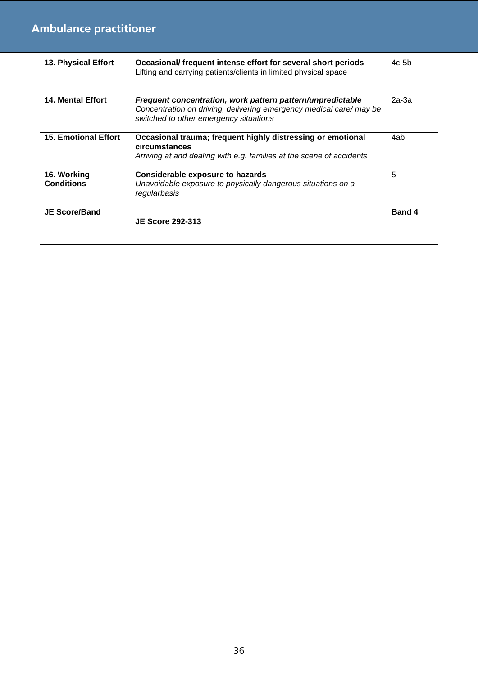| 13. Physical Effort              | Occasional/ frequent intense effort for several short periods<br>Lifting and carrying patients/clients in limited physical space                                            | $4c-5b$ |
|----------------------------------|-----------------------------------------------------------------------------------------------------------------------------------------------------------------------------|---------|
| <b>14. Mental Effort</b>         | Frequent concentration, work pattern pattern/unpredictable<br>Concentration on driving, delivering emergency medical care/ may be<br>switched to other emergency situations | $2a-3a$ |
| <b>15. Emotional Effort</b>      | Occasional trauma; frequent highly distressing or emotional<br>circumstances<br>Arriving at and dealing with e.g. families at the scene of accidents                        | 4ab     |
| 16. Working<br><b>Conditions</b> | <b>Considerable exposure to hazards</b><br>Unavoidable exposure to physically dangerous situations on a<br>regularbasis                                                     | 5       |
| <b>JE Score/Band</b>             | <b>JE Score 292-313</b>                                                                                                                                                     | Band 4  |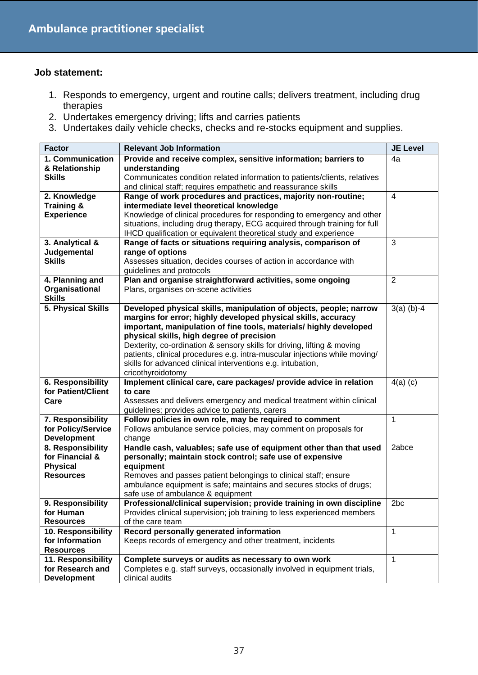- 1. Responds to emergency, urgent and routine calls; delivers treatment, including drug therapies
- 2. Undertakes emergency driving; lifts and carries patients
- 3. Undertakes daily vehicle checks, checks and re-stocks equipment and supplies.

| <b>Factor</b>                              | <b>Relevant Job Information</b>                                                                                                     | <b>JE Level</b> |
|--------------------------------------------|-------------------------------------------------------------------------------------------------------------------------------------|-----------------|
| 1. Communication                           | Provide and receive complex, sensitive information; barriers to                                                                     | 4a              |
| & Relationship                             | understanding                                                                                                                       |                 |
| <b>Skills</b>                              | Communicates condition related information to patients/clients, relatives                                                           |                 |
|                                            | and clinical staff; requires empathetic and reassurance skills                                                                      |                 |
| 2. Knowledge                               | Range of work procedures and practices, majority non-routine;                                                                       | $\overline{4}$  |
| <b>Training &amp;</b><br><b>Experience</b> | intermediate level theoretical knowledge<br>Knowledge of clinical procedures for responding to emergency and other                  |                 |
|                                            | situations, including drug therapy, ECG acquired through training for full                                                          |                 |
|                                            | IHCD qualification or equivalent theoretical study and experience                                                                   |                 |
| 3. Analytical &                            | Range of facts or situations requiring analysis, comparison of                                                                      | 3               |
| Judgemental                                | range of options                                                                                                                    |                 |
| <b>Skills</b>                              | Assesses situation, decides courses of action in accordance with                                                                    |                 |
|                                            | guidelines and protocols                                                                                                            |                 |
| 4. Planning and                            | Plan and organise straightforward activities, some ongoing                                                                          | $\overline{2}$  |
| Organisational                             | Plans, organises on-scene activities                                                                                                |                 |
| <b>Skills</b>                              |                                                                                                                                     |                 |
| 5. Physical Skills                         | Developed physical skills, manipulation of objects, people; narrow<br>margins for error; highly developed physical skills, accuracy | $3(a)$ (b)-4    |
|                                            | important, manipulation of fine tools, materials/ highly developed                                                                  |                 |
|                                            | physical skills, high degree of precision                                                                                           |                 |
|                                            | Dexterity, co-ordination & sensory skills for driving, lifting & moving                                                             |                 |
|                                            | patients, clinical procedures e.g. intra-muscular injections while moving/                                                          |                 |
|                                            | skills for advanced clinical interventions e.g. intubation,                                                                         |                 |
|                                            | cricothyroidotomy                                                                                                                   |                 |
| 6. Responsibility                          | Implement clinical care, care packages/ provide advice in relation                                                                  | $4(a)$ (c)      |
| for Patient/Client                         | to care                                                                                                                             |                 |
| Care                                       | Assesses and delivers emergency and medical treatment within clinical                                                               |                 |
| 7. Responsibility                          | guidelines; provides advice to patients, carers<br>Follow policies in own role, may be required to comment                          | $\mathbf{1}$    |
| for Policy/Service                         | Follows ambulance service policies, may comment on proposals for                                                                    |                 |
| <b>Development</b>                         | change                                                                                                                              |                 |
| 8. Responsibility                          | Handle cash, valuables; safe use of equipment other than that used                                                                  | 2abce           |
| for Financial &                            | personally; maintain stock control; safe use of expensive                                                                           |                 |
| <b>Physical</b>                            | equipment                                                                                                                           |                 |
| <b>Resources</b>                           | Removes and passes patient belongings to clinical staff; ensure                                                                     |                 |
|                                            | ambulance equipment is safe; maintains and secures stocks of drugs;                                                                 |                 |
|                                            | safe use of ambulance & equipment                                                                                                   |                 |
| 9. Responsibility                          | Professional/clinical supervision; provide training in own discipline                                                               | 2 <sub>bc</sub> |
| for Human<br><b>Resources</b>              | Provides clinical supervision; job training to less experienced members<br>of the care team                                         |                 |
| 10. Responsibility                         | Record personally generated information                                                                                             | 1               |
| for Information                            | Keeps records of emergency and other treatment, incidents                                                                           |                 |
| <b>Resources</b>                           |                                                                                                                                     |                 |
| 11. Responsibility                         | Complete surveys or audits as necessary to own work                                                                                 | 1               |
| for Research and                           | Completes e.g. staff surveys, occasionally involved in equipment trials,                                                            |                 |
| <b>Development</b>                         | clinical audits                                                                                                                     |                 |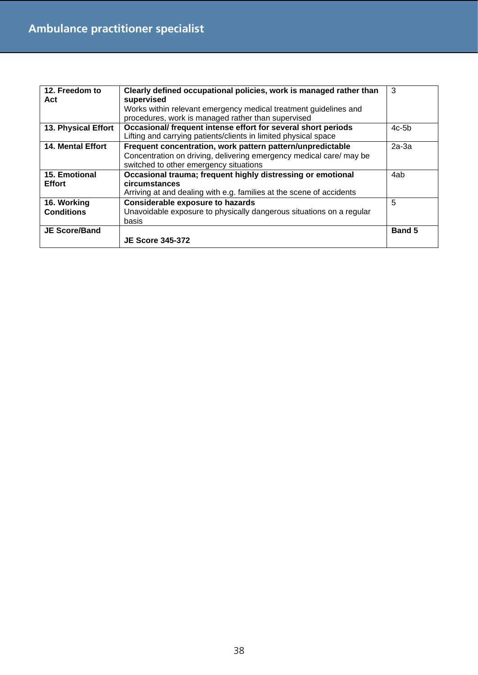| 12. Freedom to<br>Act            | Clearly defined occupational policies, work is managed rather than<br>supervised<br>Works within relevant emergency medical treatment guidelines and<br>procedures, work is managed rather than supervised | 3             |
|----------------------------------|------------------------------------------------------------------------------------------------------------------------------------------------------------------------------------------------------------|---------------|
| 13. Physical Effort              | Occasional/ frequent intense effort for several short periods<br>Lifting and carrying patients/clients in limited physical space                                                                           | $4c-5b$       |
| <b>14. Mental Effort</b>         | Frequent concentration, work pattern pattern/unpredictable<br>Concentration on driving, delivering emergency medical care/may be<br>switched to other emergency situations                                 | $2a-3a$       |
| 15. Emotional<br><b>Effort</b>   | Occasional trauma; frequent highly distressing or emotional<br>circumstances<br>Arriving at and dealing with e.g. families at the scene of accidents                                                       | 4ab           |
| 16. Working<br><b>Conditions</b> | <b>Considerable exposure to hazards</b><br>Unavoidable exposure to physically dangerous situations on a regular<br>basis                                                                                   | 5             |
| <b>JE Score/Band</b>             | <b>JE Score 345-372</b>                                                                                                                                                                                    | <b>Band 5</b> |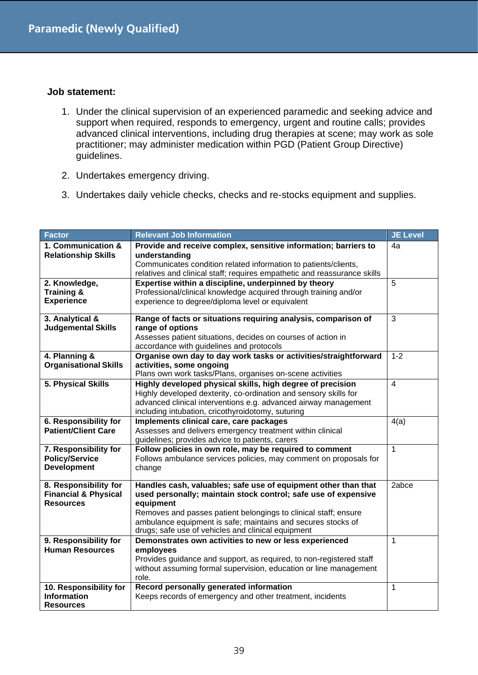- 1. Under the clinical supervision of an experienced paramedic and seeking advice and support when required, responds to emergency, urgent and routine calls; provides advanced clinical interventions, including drug therapies at scene; may work as sole practitioner; may administer medication within PGD (Patient Group Directive) guidelines.
- 2. Undertakes emergency driving.
- 3. Undertakes daily vehicle checks, checks and re-stocks equipment and supplies.

| Factor                          | <b>Relevant Job Information</b>                                                                                                 | <b>JE Level</b> |
|---------------------------------|---------------------------------------------------------------------------------------------------------------------------------|-----------------|
| 1. Communication &              | Provide and receive complex, sensitive information; barriers to                                                                 | 4a              |
| <b>Relationship Skills</b>      | understanding                                                                                                                   |                 |
|                                 | Communicates condition related information to patients/clients,                                                                 |                 |
|                                 | relatives and clinical staff; requires empathetic and reassurance skills                                                        |                 |
| 2. Knowledge,<br>Training &     | Expertise within a discipline, underpinned by theory<br>Professional/clinical knowledge acquired through training and/or        | 5               |
| <b>Experience</b>               | experience to degree/diploma level or equivalent                                                                                |                 |
|                                 |                                                                                                                                 |                 |
| 3. Analytical &                 | Range of facts or situations requiring analysis, comparison of                                                                  | 3               |
| <b>Judgemental Skills</b>       | range of options                                                                                                                |                 |
|                                 | Assesses patient situations, decides on courses of action in                                                                    |                 |
|                                 | accordance with guidelines and protocols                                                                                        |                 |
| 4. Planning &                   | Organise own day to day work tasks or activities/straightforward                                                                | $1 - 2$         |
| <b>Organisational Skills</b>    | activities, some ongoing                                                                                                        |                 |
|                                 | Plans own work tasks/Plans, organises on-scene activities                                                                       |                 |
| 5. Physical Skills              | Highly developed physical skills, high degree of precision                                                                      | $\overline{4}$  |
|                                 | Highly developed dexterity, co-ordination and sensory skills for                                                                |                 |
|                                 | advanced clinical interventions e.g. advanced airway management<br>including intubation, cricothyroidotomy, suturing            |                 |
| <b>6. Responsibility for</b>    | Implements clinical care, care packages                                                                                         | 4(a)            |
| <b>Patient/Client Care</b>      | Assesses and delivers emergency treatment within clinical                                                                       |                 |
|                                 | guidelines; provides advice to patients, carers                                                                                 |                 |
| 7. Responsibility for           | Follow policies in own role, may be required to comment                                                                         | $\mathbf{1}$    |
| <b>Policy/Service</b>           | Follows ambulance services policies, may comment on proposals for                                                               |                 |
| <b>Development</b>              | change                                                                                                                          |                 |
|                                 |                                                                                                                                 |                 |
| 8. Responsibility for           | Handles cash, valuables; safe use of equipment other than that                                                                  | 2abce           |
| <b>Financial &amp; Physical</b> | used personally; maintain stock control; safe use of expensive                                                                  |                 |
| <b>Resources</b>                | equipment                                                                                                                       |                 |
|                                 | Removes and passes patient belongings to clinical staff; ensure<br>ambulance equipment is safe; maintains and secures stocks of |                 |
|                                 | drugs; safe use of vehicles and clinical equipment                                                                              |                 |
| 9. Responsibility for           | Demonstrates own activities to new or less experienced                                                                          | $\mathbf{1}$    |
| <b>Human Resources</b>          | employees                                                                                                                       |                 |
|                                 | Provides guidance and support, as required, to non-registered staff                                                             |                 |
|                                 | without assuming formal supervision, education or line management                                                               |                 |
|                                 | role.                                                                                                                           |                 |
| 10. Responsibility for          | Record personally generated information                                                                                         | 1               |
| <b>Information</b>              | Keeps records of emergency and other treatment, incidents                                                                       |                 |
| <b>Resources</b>                |                                                                                                                                 |                 |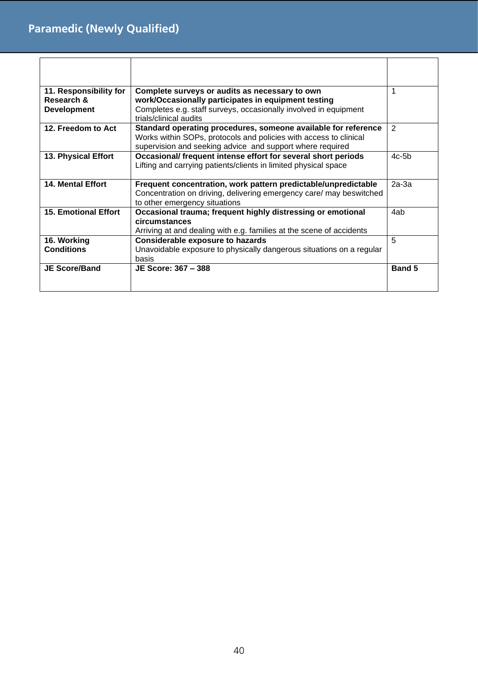| 11. Responsibility for<br>Research &<br><b>Development</b> | Complete surveys or audits as necessary to own<br>work/Occasionally participates in equipment testing<br>Completes e.g. staff surveys, occasionally involved in equipment<br>trials/clinical audits | 1             |
|------------------------------------------------------------|-----------------------------------------------------------------------------------------------------------------------------------------------------------------------------------------------------|---------------|
| 12. Freedom to Act                                         | Standard operating procedures, someone available for reference<br>Works within SOPs, protocols and policies with access to clinical<br>supervision and seeking advice and support where required    | 2             |
| 13. Physical Effort                                        | Occasional/ frequent intense effort for several short periods<br>Lifting and carrying patients/clients in limited physical space                                                                    | $4c-5b$       |
| <b>14. Mental Effort</b>                                   | Frequent concentration, work pattern predictable/unpredictable<br>Concentration on driving, delivering emergency care/ may beswitched<br>to other emergency situations                              | $2a-3a$       |
| <b>15. Emotional Effort</b>                                | Occasional trauma; frequent highly distressing or emotional<br>circumstances<br>Arriving at and dealing with e.g. families at the scene of accidents                                                | 4ab           |
| 16. Working<br><b>Conditions</b>                           | <b>Considerable exposure to hazards</b><br>Unavoidable exposure to physically dangerous situations on a regular<br>basis                                                                            | 5             |
| <b>JE Score/Band</b>                                       | JE Score: 367 - 388                                                                                                                                                                                 | <b>Band 5</b> |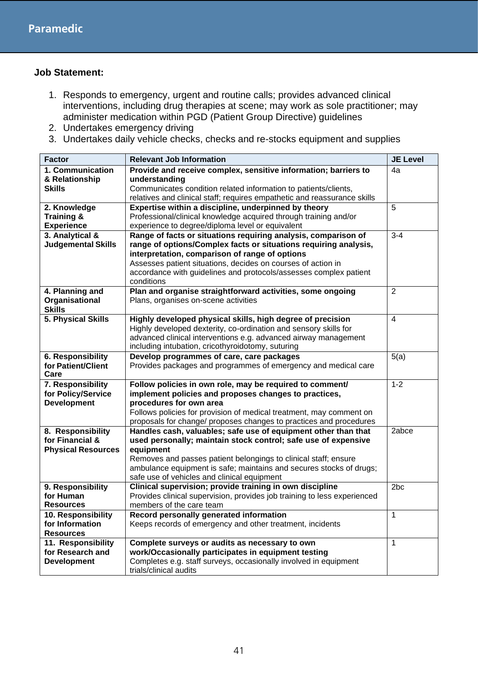- 1. Responds to emergency, urgent and routine calls; provides advanced clinical interventions, including drug therapies at scene; may work as sole practitioner; may administer medication within PGD (Patient Group Directive) guidelines
- 2. Undertakes emergency driving
- 3. Undertakes daily vehicle checks, checks and re-stocks equipment and supplies

| <b>Factor</b>                                                     | <b>Relevant Job Information</b>                                                                                                                                                                                                                                                                                                         | <b>JE Level</b> |
|-------------------------------------------------------------------|-----------------------------------------------------------------------------------------------------------------------------------------------------------------------------------------------------------------------------------------------------------------------------------------------------------------------------------------|-----------------|
| 1. Communication<br>& Relationship<br><b>Skills</b>               | Provide and receive complex, sensitive information; barriers to<br>understanding<br>Communicates condition related information to patients/clients,<br>relatives and clinical staff; requires empathetic and reassurance skills                                                                                                         | 4a              |
| 2. Knowledge<br><b>Training &amp;</b><br><b>Experience</b>        | Expertise within a discipline, underpinned by theory<br>Professional/clinical knowledge acquired through training and/or<br>experience to degree/diploma level or equivalent                                                                                                                                                            | 5               |
| 3. Analytical &<br><b>Judgemental Skills</b>                      | Range of facts or situations requiring analysis, comparison of<br>range of options/Complex facts or situations requiring analysis,<br>interpretation, comparison of range of options<br>Assesses patient situations, decides on courses of action in<br>accordance with guidelines and protocols/assesses complex patient<br>conditions | $3 - 4$         |
| 4. Planning and<br>Organisational<br><b>Skills</b>                | Plan and organise straightforward activities, some ongoing<br>Plans, organises on-scene activities                                                                                                                                                                                                                                      | $\overline{2}$  |
| 5. Physical Skills                                                | Highly developed physical skills, high degree of precision<br>Highly developed dexterity, co-ordination and sensory skills for<br>advanced clinical interventions e.g. advanced airway management<br>including intubation, cricothyroidotomy, suturing                                                                                  | $\overline{4}$  |
| 6. Responsibility<br>for Patient/Client<br>Care                   | Develop programmes of care, care packages<br>Provides packages and programmes of emergency and medical care                                                                                                                                                                                                                             | 5(a)            |
| 7. Responsibility<br>for Policy/Service<br><b>Development</b>     | Follow policies in own role, may be required to comment/<br>implement policies and proposes changes to practices,<br>procedures for own area<br>Follows policies for provision of medical treatment, may comment on<br>proposals for change/ proposes changes to practices and procedures                                               | $1 - 2$         |
| 8. Responsibility<br>for Financial &<br><b>Physical Resources</b> | Handles cash, valuables; safe use of equipment other than that<br>used personally; maintain stock control; safe use of expensive<br>equipment<br>Removes and passes patient belongings to clinical staff; ensure<br>ambulance equipment is safe; maintains and secures stocks of drugs;<br>safe use of vehicles and clinical equipment  | 2abce           |
| 9. Responsibility<br>for Human<br><b>Resources</b>                | Clinical supervision; provide training in own discipline<br>Provides clinical supervision, provides job training to less experienced<br>members of the care team                                                                                                                                                                        | 2 <sub>bc</sub> |
| 10. Responsibility<br>for Information<br><b>Resources</b>         | Record personally generated information<br>Keeps records of emergency and other treatment, incidents                                                                                                                                                                                                                                    | 1               |
| 11. Responsibility<br>for Research and<br><b>Development</b>      | Complete surveys or audits as necessary to own<br>work/Occasionally participates in equipment testing<br>Completes e.g. staff surveys, occasionally involved in equipment<br>trials/clinical audits                                                                                                                                     | $\mathbf 1$     |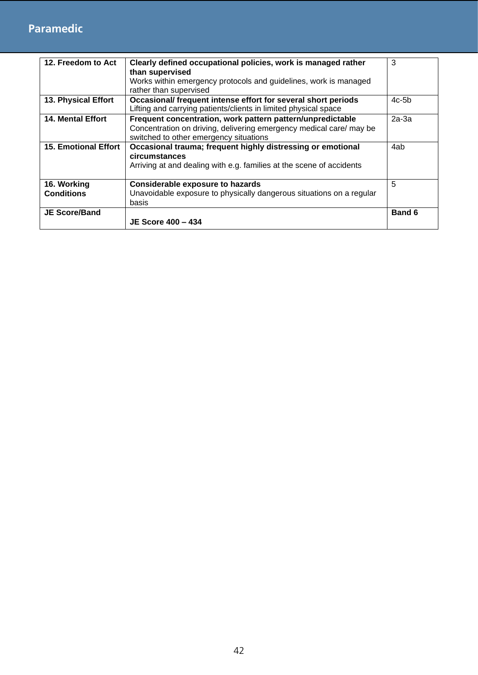### **Paramedic**

| 12. Freedom to Act          | Clearly defined occupational policies, work is managed rather                                                                    | 3             |
|-----------------------------|----------------------------------------------------------------------------------------------------------------------------------|---------------|
|                             | than supervised                                                                                                                  |               |
|                             | Works within emergency protocols and guidelines, work is managed<br>rather than supervised                                       |               |
| 13. Physical Effort         | Occasional/ frequent intense effort for several short periods<br>Lifting and carrying patients/clients in limited physical space | $4c-5b$       |
| <b>14. Mental Effort</b>    | Frequent concentration, work pattern pattern/unpredictable                                                                       | $2a-3a$       |
|                             | Concentration on driving, delivering emergency medical care/ may be<br>switched to other emergency situations                    |               |
| <b>15. Emotional Effort</b> | Occasional trauma; frequent highly distressing or emotional                                                                      | 4ab           |
|                             | circumstances                                                                                                                    |               |
|                             | Arriving at and dealing with e.g. families at the scene of accidents                                                             |               |
| 16. Working                 | <b>Considerable exposure to hazards</b>                                                                                          | 5             |
| <b>Conditions</b>           | Unavoidable exposure to physically dangerous situations on a regular                                                             |               |
|                             | basis                                                                                                                            |               |
| <b>JE Score/Band</b>        |                                                                                                                                  | <b>Band 6</b> |
|                             | <b>JE Score 400 – 434</b>                                                                                                        |               |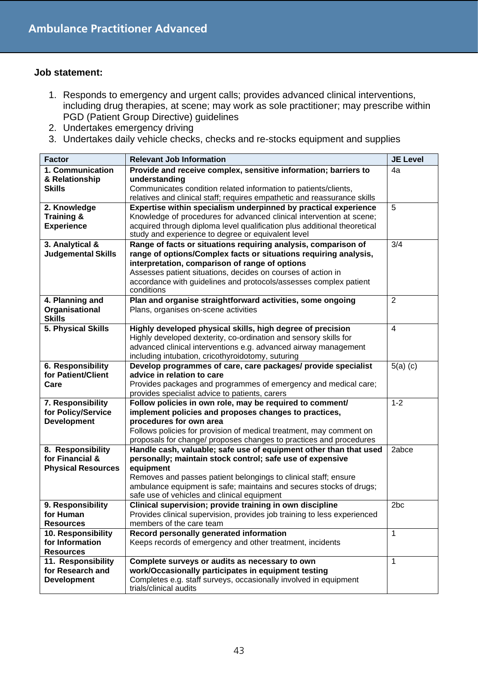- 1. Responds to emergency and urgent calls; provides advanced clinical interventions, including drug therapies, at scene; may work as sole practitioner; may prescribe within PGD (Patient Group Directive) guidelines
- 2. Undertakes emergency driving
- 3. Undertakes daily vehicle checks, checks and re-stocks equipment and supplies

| <b>Factor</b>                              | <b>Relevant Job Information</b>                                                                                                                  | <b>JE Level</b> |
|--------------------------------------------|--------------------------------------------------------------------------------------------------------------------------------------------------|-----------------|
| 1. Communication                           | Provide and receive complex, sensitive information; barriers to                                                                                  | 4a              |
| & Relationship                             | understanding                                                                                                                                    |                 |
| <b>Skills</b>                              | Communicates condition related information to patients/clients,                                                                                  |                 |
|                                            | relatives and clinical staff; requires empathetic and reassurance skills                                                                         |                 |
| 2. Knowledge                               | Expertise within specialism underpinned by practical experience                                                                                  | 5               |
| <b>Training &amp;</b><br><b>Experience</b> | Knowledge of procedures for advanced clinical intervention at scene;<br>acquired through diploma level qualification plus additional theoretical |                 |
|                                            | study and experience to degree or equivalent level                                                                                               |                 |
| 3. Analytical &                            | Range of facts or situations requiring analysis, comparison of                                                                                   | 3/4             |
| <b>Judgemental Skills</b>                  | range of options/Complex facts or situations requiring analysis,                                                                                 |                 |
|                                            | interpretation, comparison of range of options                                                                                                   |                 |
|                                            | Assesses patient situations, decides on courses of action in                                                                                     |                 |
|                                            | accordance with guidelines and protocols/assesses complex patient<br>conditions                                                                  |                 |
| 4. Planning and                            | Plan and organise straightforward activities, some ongoing                                                                                       | $\overline{2}$  |
| Organisational                             | Plans, organises on-scene activities                                                                                                             |                 |
| <b>Skills</b>                              |                                                                                                                                                  |                 |
| 5. Physical Skills                         | Highly developed physical skills, high degree of precision                                                                                       | $\overline{4}$  |
|                                            | Highly developed dexterity, co-ordination and sensory skills for                                                                                 |                 |
|                                            | advanced clinical interventions e.g. advanced airway management                                                                                  |                 |
|                                            | including intubation, cricothyroidotomy, suturing                                                                                                |                 |
| 6. Responsibility                          | Develop programmes of care, care packages/ provide specialist                                                                                    | $5(a)$ (c)      |
| for Patient/Client<br>Care                 | advice in relation to care<br>Provides packages and programmes of emergency and medical care;                                                    |                 |
|                                            | provides specialist advice to patients, carers                                                                                                   |                 |
| 7. Responsibility                          | Follow policies in own role, may be required to comment/                                                                                         | $1 - 2$         |
| for Policy/Service                         | implement policies and proposes changes to practices,                                                                                            |                 |
| <b>Development</b>                         | procedures for own area                                                                                                                          |                 |
|                                            | Follows policies for provision of medical treatment, may comment on                                                                              |                 |
|                                            | proposals for change/ proposes changes to practices and procedures                                                                               |                 |
| 8. Responsibility                          | Handle cash, valuable; safe use of equipment other than that used                                                                                | 2abce           |
| for Financial &                            | personally; maintain stock control; safe use of expensive                                                                                        |                 |
| <b>Physical Resources</b>                  | equipment<br>Removes and passes patient belongings to clinical staff; ensure                                                                     |                 |
|                                            | ambulance equipment is safe; maintains and secures stocks of drugs;                                                                              |                 |
|                                            | safe use of vehicles and clinical equipment                                                                                                      |                 |
| 9. Responsibility                          | Clinical supervision; provide training in own discipline                                                                                         | 2 <sub>bc</sub> |
| for Human                                  | Provides clinical supervision, provides job training to less experienced                                                                         |                 |
| <b>Resources</b>                           | members of the care team                                                                                                                         |                 |
| 10. Responsibility                         | Record personally generated information                                                                                                          | 1               |
| for Information                            | Keeps records of emergency and other treatment, incidents                                                                                        |                 |
| <b>Resources</b><br>11. Responsibility     | Complete surveys or audits as necessary to own                                                                                                   | 1               |
| for Research and                           | work/Occasionally participates in equipment testing                                                                                              |                 |
| <b>Development</b>                         | Completes e.g. staff surveys, occasionally involved in equipment                                                                                 |                 |
|                                            | trials/clinical audits                                                                                                                           |                 |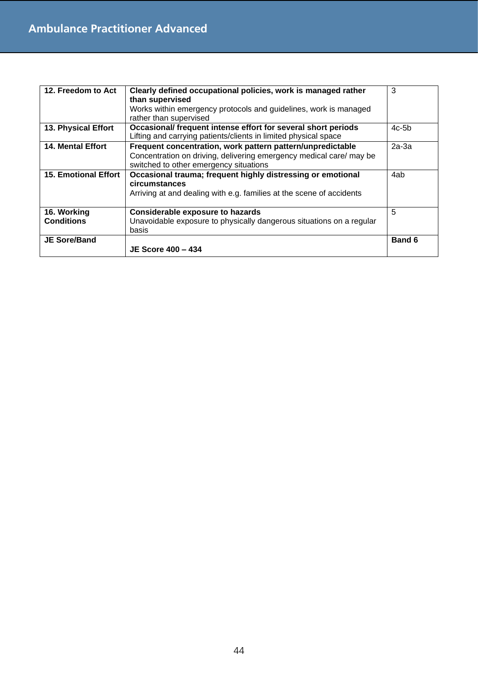| 12. Freedom to Act               | Clearly defined occupational policies, work is managed rather<br>than supervised<br>Works within emergency protocols and guidelines, work is managed<br>rather than supervised | 3             |
|----------------------------------|--------------------------------------------------------------------------------------------------------------------------------------------------------------------------------|---------------|
| 13. Physical Effort              | Occasional/ frequent intense effort for several short periods<br>Lifting and carrying patients/clients in limited physical space                                               | $4c-5b$       |
| <b>14. Mental Effort</b>         | Frequent concentration, work pattern pattern/unpredictable<br>Concentration on driving, delivering emergency medical care/ may be<br>switched to other emergency situations    | $2a-3a$       |
| <b>15. Emotional Effort</b>      | Occasional trauma; frequent highly distressing or emotional<br>circumstances<br>Arriving at and dealing with e.g. families at the scene of accidents                           | 4ab           |
| 16. Working<br><b>Conditions</b> | <b>Considerable exposure to hazards</b><br>Unavoidable exposure to physically dangerous situations on a regular<br>basis                                                       | 5             |
| <b>JE Sore/Band</b>              | JE Score 400 - 434                                                                                                                                                             | <b>Band 6</b> |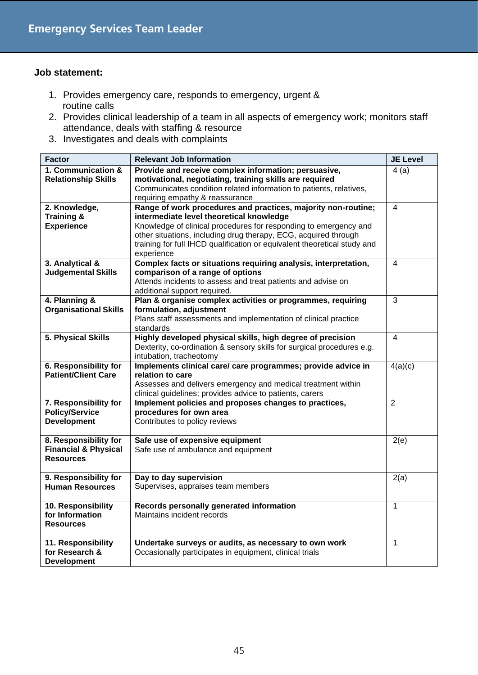- 1. Provides emergency care, responds to emergency, urgent & routine calls
- 2. Provides clinical leadership of a team in all aspects of emergency work; monitors staff attendance, deals with staffing & resource
- 3. Investigates and deals with complaints

| <b>Factor</b>                   | <b>Relevant Job Information</b>                                          | <b>JE Level</b> |
|---------------------------------|--------------------------------------------------------------------------|-----------------|
| 1. Communication &              | Provide and receive complex information; persuasive,                     | 4(a)            |
| <b>Relationship Skills</b>      | motivational, negotiating, training skills are required                  |                 |
|                                 | Communicates condition related information to patients, relatives,       |                 |
|                                 | requiring empathy & reassurance                                          |                 |
| 2. Knowledge,                   | Range of work procedures and practices, majority non-routine;            | 4               |
| <b>Training &amp;</b>           | intermediate level theoretical knowledge                                 |                 |
| <b>Experience</b>               | Knowledge of clinical procedures for responding to emergency and         |                 |
|                                 | other situations, including drug therapy, ECG, acquired through          |                 |
|                                 | training for full IHCD qualification or equivalent theoretical study and |                 |
|                                 | experience                                                               |                 |
| 3. Analytical &                 | Complex facts or situations requiring analysis, interpretation,          | 4               |
| <b>Judgemental Skills</b>       | comparison of a range of options                                         |                 |
|                                 | Attends incidents to assess and treat patients and advise on             |                 |
|                                 | additional support required.                                             |                 |
| 4. Planning &                   | Plan & organise complex activities or programmes, requiring              | $\overline{3}$  |
| <b>Organisational Skills</b>    | formulation, adjustment                                                  |                 |
|                                 | Plans staff assessments and implementation of clinical practice          |                 |
|                                 | standards                                                                |                 |
| 5. Physical Skills              | Highly developed physical skills, high degree of precision               | 4               |
|                                 | Dexterity, co-ordination & sensory skills for surgical procedures e.g.   |                 |
|                                 | intubation, tracheotomy                                                  |                 |
| 6. Responsibility for           | Implements clinical care/ care programmes; provide advice in             | 4(a)(c)         |
| <b>Patient/Client Care</b>      | relation to care                                                         |                 |
|                                 | Assesses and delivers emergency and medical treatment within             |                 |
|                                 | clinical guidelines; provides advice to patients, carers                 |                 |
| 7. Responsibility for           | Implement policies and proposes changes to practices,                    | $\overline{2}$  |
| <b>Policy/Service</b>           | procedures for own area                                                  |                 |
| <b>Development</b>              | Contributes to policy reviews                                            |                 |
|                                 |                                                                          |                 |
| 8. Responsibility for           | Safe use of expensive equipment                                          | 2(e)            |
| <b>Financial &amp; Physical</b> | Safe use of ambulance and equipment                                      |                 |
| <b>Resources</b>                |                                                                          |                 |
|                                 |                                                                          |                 |
| 9. Responsibility for           | Day to day supervision                                                   | 2(a)            |
| <b>Human Resources</b>          | Supervises, appraises team members                                       |                 |
|                                 |                                                                          |                 |
| 10. Responsibility              | Records personally generated information                                 | $\mathbf{1}$    |
| for Information                 | Maintains incident records                                               |                 |
| <b>Resources</b>                |                                                                          |                 |
|                                 |                                                                          |                 |
| 11. Responsibility              | Undertake surveys or audits, as necessary to own work                    | 1               |
| for Research &                  | Occasionally participates in equipment, clinical trials                  |                 |
| <b>Development</b>              |                                                                          |                 |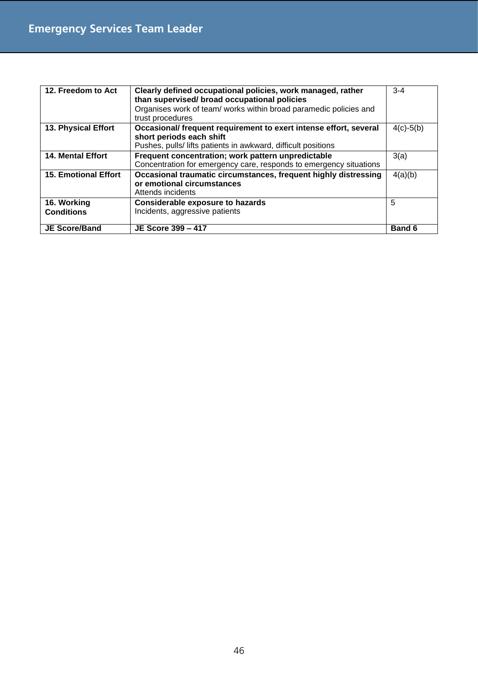| 12. Freedom to Act               | Clearly defined occupational policies, work managed, rather<br>than supervised/ broad occupational policies<br>Organises work of team/ works within broad paramedic policies and<br>trust procedures | $3 - 4$       |
|----------------------------------|------------------------------------------------------------------------------------------------------------------------------------------------------------------------------------------------------|---------------|
| 13. Physical Effort              | Occasional/ frequent requirement to exert intense effort, several<br>short periods each shift<br>Pushes, pulls/ lifts patients in awkward, difficult positions                                       | $4(c)-5(b)$   |
| <b>14. Mental Effort</b>         | Frequent concentration; work pattern unpredictable<br>Concentration for emergency care, responds to emergency situations                                                                             | 3(a)          |
| <b>15. Emotional Effort</b>      | Occasional traumatic circumstances, frequent highly distressing<br>or emotional circumstances<br>Attends incidents                                                                                   | 4(a)(b)       |
| 16. Working<br><b>Conditions</b> | <b>Considerable exposure to hazards</b><br>Incidents, aggressive patients                                                                                                                            | 5             |
| <b>JE Score/Band</b>             | JE Score 399 - 417                                                                                                                                                                                   | <b>Band 6</b> |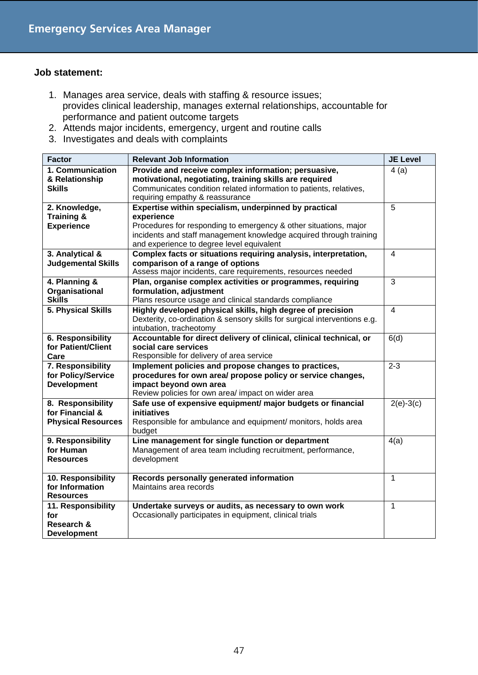- 1. Manages area service, deals with staffing & resource issues; provides clinical leadership, manages external relationships, accountable for performance and patient outcome targets
- 2. Attends major incidents, emergency, urgent and routine calls
- 3. Investigates and deals with complaints

| <b>Factor</b>                                                     | <b>Relevant Job Information</b>                                                                                                                                                                                                                            | <b>JE Level</b> |
|-------------------------------------------------------------------|------------------------------------------------------------------------------------------------------------------------------------------------------------------------------------------------------------------------------------------------------------|-----------------|
| 1. Communication<br>& Relationship<br><b>Skills</b>               | Provide and receive complex information; persuasive,<br>motivational, negotiating, training skills are required<br>Communicates condition related information to patients, relatives,<br>requiring empathy & reassurance                                   | 4(a)            |
| 2. Knowledge,<br><b>Training &amp;</b><br><b>Experience</b>       | Expertise within specialism, underpinned by practical<br>experience<br>Procedures for responding to emergency & other situations, major<br>incidents and staff management knowledge acquired through training<br>and experience to degree level equivalent | 5               |
| 3. Analytical &<br><b>Judgemental Skills</b>                      | Complex facts or situations requiring analysis, interpretation,<br>comparison of a range of options<br>Assess major incidents, care requirements, resources needed                                                                                         | 4               |
| 4. Planning &<br>Organisational<br><b>Skills</b>                  | Plan, organise complex activities or programmes, requiring<br>formulation, adjustment<br>Plans resource usage and clinical standards compliance                                                                                                            | 3               |
| 5. Physical Skills                                                | Highly developed physical skills, high degree of precision<br>Dexterity, co-ordination & sensory skills for surgical interventions e.g.<br>intubation, tracheotomy                                                                                         | $\overline{4}$  |
| <b>6. Responsibility</b><br>for Patient/Client<br>Care            | Accountable for direct delivery of clinical, clinical technical, or<br>social care services<br>Responsible for delivery of area service                                                                                                                    | 6(d)            |
| 7. Responsibility<br>for Policy/Service<br><b>Development</b>     | Implement policies and propose changes to practices,<br>procedures for own area/ propose policy or service changes,<br>impact beyond own area<br>Review policies for own area/ impact on wider area                                                        | $2 - 3$         |
| 8. Responsibility<br>for Financial &<br><b>Physical Resources</b> | Safe use of expensive equipment/ major budgets or financial<br>initiatives<br>Responsible for ambulance and equipment/ monitors, holds area<br>budget                                                                                                      | $2(e)-3(c)$     |
| 9. Responsibility<br>for Human<br><b>Resources</b>                | Line management for single function or department<br>Management of area team including recruitment, performance,<br>development                                                                                                                            | 4(a)            |
| 10. Responsibility<br>for Information<br><b>Resources</b>         | Records personally generated information<br>Maintains area records                                                                                                                                                                                         | $\mathbf{1}$    |
| 11. Responsibility<br>for<br>Research &<br><b>Development</b>     | Undertake surveys or audits, as necessary to own work<br>Occasionally participates in equipment, clinical trials                                                                                                                                           | $\mathbf{1}$    |